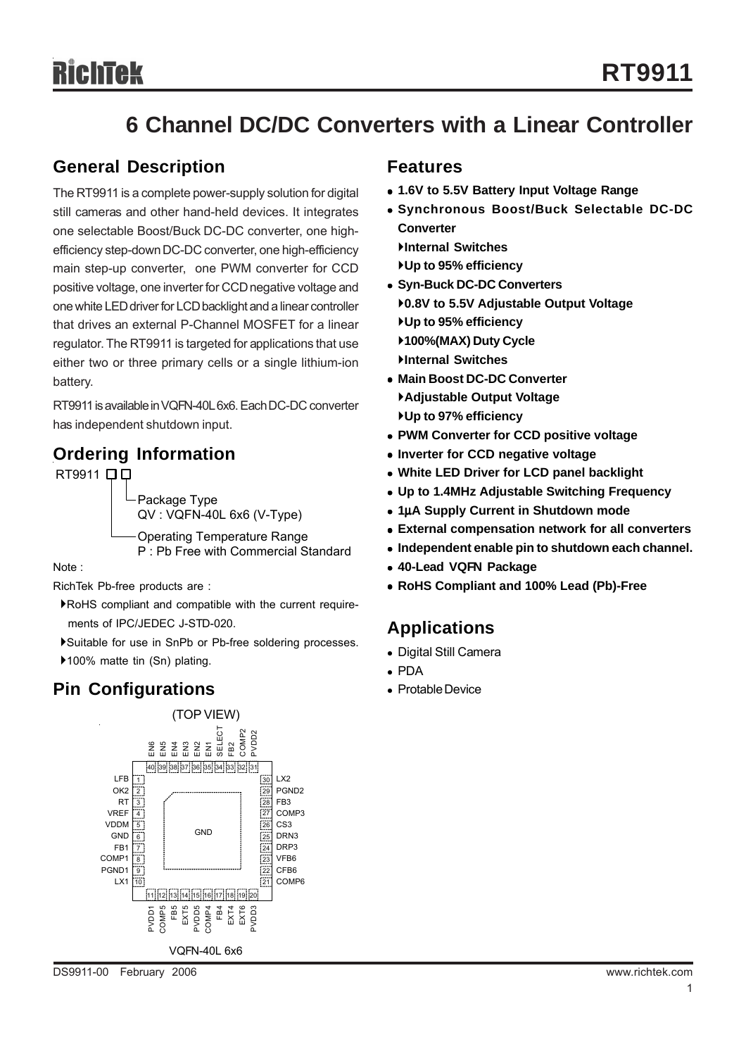## **6 Channel DC/DC Converters with a Linear Controller**

### **General Description**

The RT9911 is a complete power-supply solution for digital still cameras and other hand-held devices. It integrates one selectable Boost/Buck DC-DC converter, one highefficiency step-down DC-DC converter, one high-efficiency main step-up converter, one PWM converter for CCD positive voltage, one inverter for CCD negative voltage and one white LED driver for LCD backlight and a linear controller that drives an external P-Channel MOSFET for a linear regulator. The RT9911 is targeted for applications that use either two or three primary cells or a single lithium-ion battery.

RT9911 is available in VQFN-40L 6x6. Each DC-DC converter has independent shutdown input.

### **Ordering Information**

RT9911 **DD** Package Type QV : VQFN-40L 6x6 (V-Type) Operating Temperature Range P : Pb Free with Commercial Standard

Note :

RichTek Pb-free products are :

- `RoHS compliant and compatible with the current require ments of IPC/JEDEC J-STD-020.
- `Suitable for use in SnPb or Pb-free soldering processes.
- ▶100% matte tin (Sn) plating.

### **Pin Configurations**



- <sup>z</sup> **1.6V to 5.5V Battery Input Voltage Range**
- <sup>z</sup> **Synchronous Boost/Buck Selectable DC-DC Converter**
	- `**Internal Switches** `**Up to 95% efficiency**
- <sup>z</sup> **Syn-Buck DC-DC Converters** `**0.8V to 5.5V Adjustable Output Voltage** `**Up to 95% efficiency** `**100%(MAX) Duty Cycle**
	- `**Internal Switches**
- <sup>z</sup> **Main Boost DC-DC Converter** `**Adjustable Output Voltage** `**Up to 97% efficiency**
- **PWM Converter for CCD positive voltage**
- $\bullet$  **Inverter for CCD negative voltage**
- **White LED Driver for LCD panel backlight**
- <sup>z</sup> **Up to 1.4MHz Adjustable Switching Frequency**
- <sup>z</sup> **1**μ**A Supply Current in Shutdown mode**
- **External compensation network for all converters**
- Independent enable pin to shutdown each channel.
- <sup>z</sup> **40-Lead VQFN Package**
- <sup>z</sup> **RoHS Compliant and 100% Lead (Pb)-Free**

### **Applications**

- Digital Still Camera
- $\bullet$  PDA
- Protable Device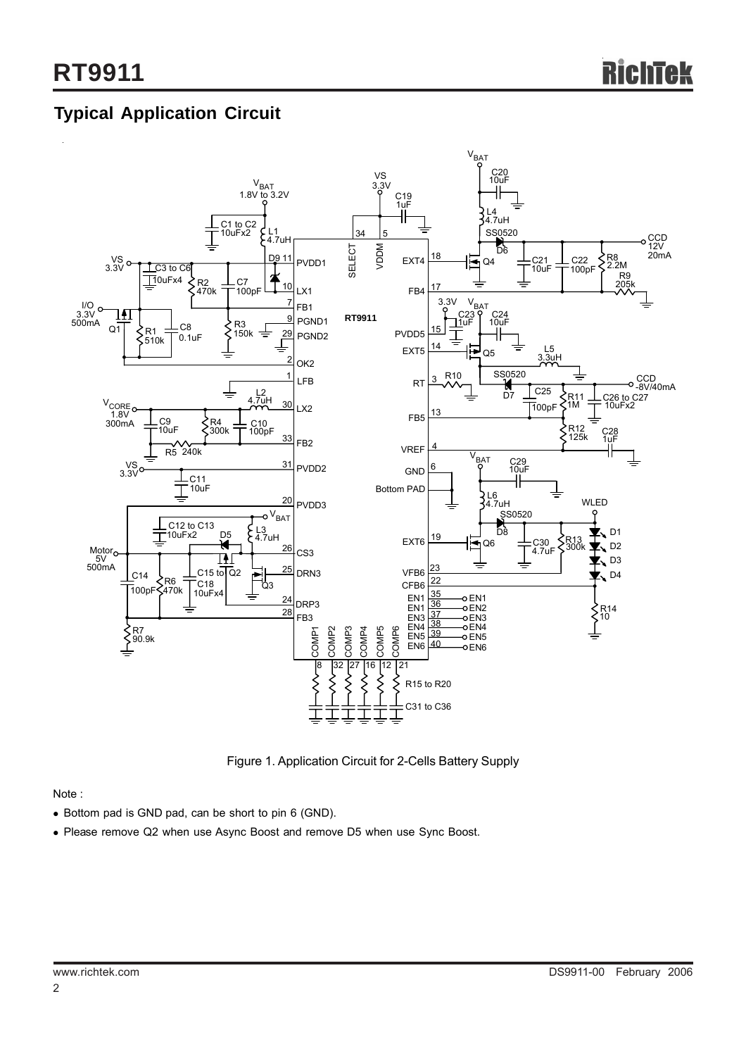## **Typical Application Circuit**



Figure 1. Application Circuit for 2-Cells Battery Supply

Note :

- Bottom pad is GND pad, can be short to pin 6 (GND).
- Please remove Q2 when use Async Boost and remove D5 when use Sync Boost.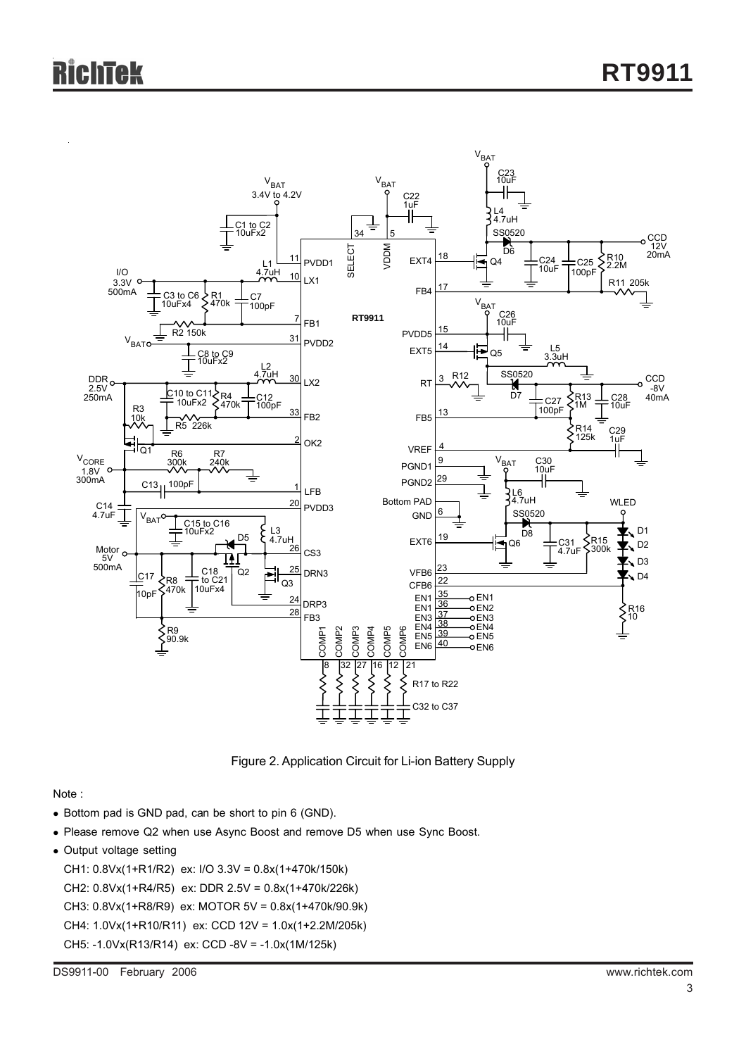

Figure 2. Application Circuit for Li-ion Battery Supply

Note :

- Bottom pad is GND pad, can be short to pin 6 (GND).
- Please remove Q2 when use Async Boost and remove D5 when use Sync Boost.
- Output voltage setting

CH1: 0.8Vx(1+R1/R2) ex: I/O 3.3V = 0.8x(1+470k/150k) CH2: 0.8Vx(1+R4/R5) ex: DDR 2.5V = 0.8x(1+470k/226k) CH3: 0.8Vx(1+R8/R9) ex: MOTOR 5V = 0.8x(1+470k/90.9k) CH4: 1.0Vx(1+R10/R11) ex: CCD 12V = 1.0x(1+2.2M/205k) CH5: -1.0Vx(R13/R14) ex: CCD -8V = -1.0x(1M/125k)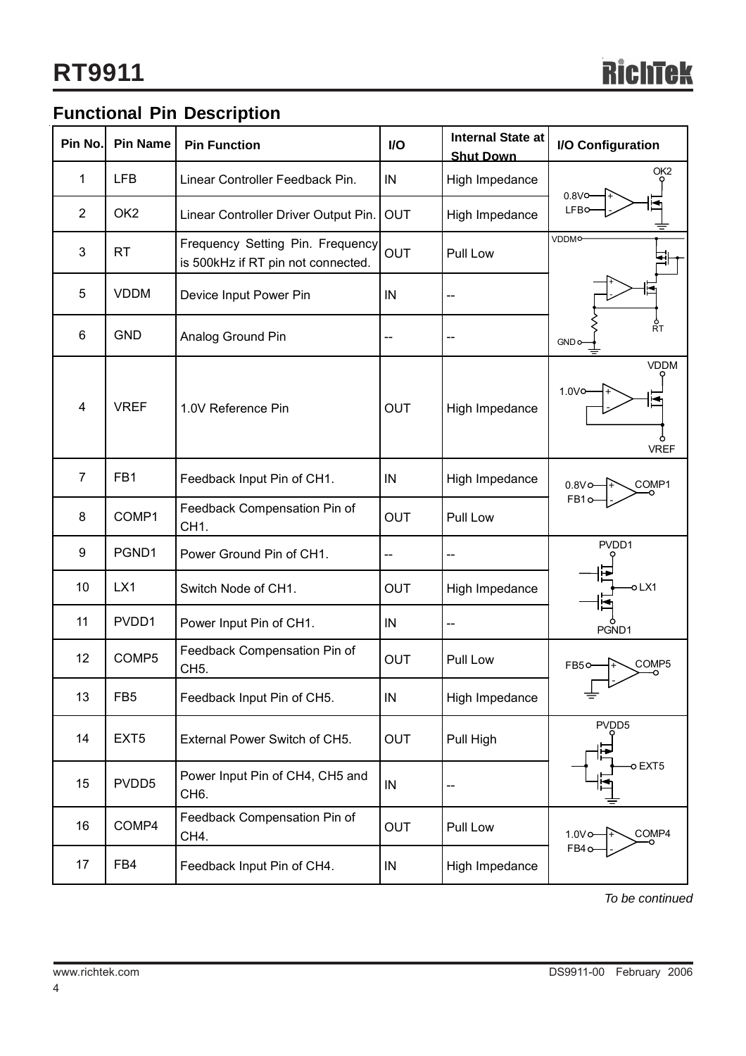## **Functional Pin Description**

| Pin No.        | <b>Pin Name</b>  | <b>Pin Function</b>                                                    | <b>VO</b>  | <b>Internal State at</b><br><b>Shut Down</b> | I/O Configuration                               |
|----------------|------------------|------------------------------------------------------------------------|------------|----------------------------------------------|-------------------------------------------------|
| 1              | <b>LFB</b>       | Linear Controller Feedback Pin.                                        | IN         | High Impedance                               | OK <sub>2</sub>                                 |
| $\overline{2}$ | OK <sub>2</sub>  | Linear Controller Driver Output Pin.                                   | <b>OUT</b> | High Impedance                               | 0.8V <sub>O</sub><br>LFBO                       |
| 3              | <b>RT</b>        | Frequency Setting Pin. Frequency<br>is 500kHz if RT pin not connected. | <b>OUT</b> | Pull Low                                     | VDDMO                                           |
| 5              | <b>VDDM</b>      | Device Input Power Pin                                                 | IN         |                                              |                                                 |
| 6              | <b>GND</b>       | Analog Ground Pin                                                      |            |                                              | $_{\rm RT}^{\rm o}$<br><b>GND</b> <sub>o</sub>  |
| 4              | <b>VREF</b>      | 1.0V Reference Pin                                                     | <b>OUT</b> | High Impedance                               | <b>VDDM</b><br>1.0V <sub>O</sub><br><b>VREF</b> |
| $\overline{7}$ | FB1              | Feedback Input Pin of CH1.                                             | IN         | High Impedance                               | COMP1<br>$0.8V$ o                               |
| 8              | COMP1            | Feedback Compensation Pin of<br>CH <sub>1</sub> .                      | <b>OUT</b> | Pull Low                                     | FB <sub>1</sub> o                               |
| 9              | PGND1            | Power Ground Pin of CH1.                                               |            |                                              | PVDD1                                           |
| 10             | LX1              | Switch Node of CH1.                                                    | OUT        | High Impedance                               | $-0$ LX1                                        |
| 11             | PVDD1            | Power Input Pin of CH1.                                                | IN         |                                              | PGND1                                           |
| 12             | COMP5            | Feedback Compensation Pin of<br>CH <sub>5</sub> .                      | <b>OUT</b> | Pull Low                                     | COMP <sub>5</sub><br>FB50                       |
| 13             | FB <sub>5</sub>  | Feedback Input Pin of CH5.                                             | ${\sf IN}$ | High Impedance                               |                                                 |
| 14             | EXT <sub>5</sub> | External Power Switch of CH5.                                          | <b>OUT</b> | Pull High                                    | PVDD5                                           |
| 15             | PVDD5            | Power Input Pin of CH4, CH5 and<br>CH <sub>6</sub> .                   | IN         |                                              | o EXT5                                          |
| 16             | COMP4            | Feedback Compensation Pin of<br>CH4.                                   | OUT        | Pull Low                                     | COMP4<br>$1.0V$ o-                              |
| 17             | FB4              | Feedback Input Pin of CH4.                                             | IN         | High Impedance                               | FB <sub>4</sub> o                               |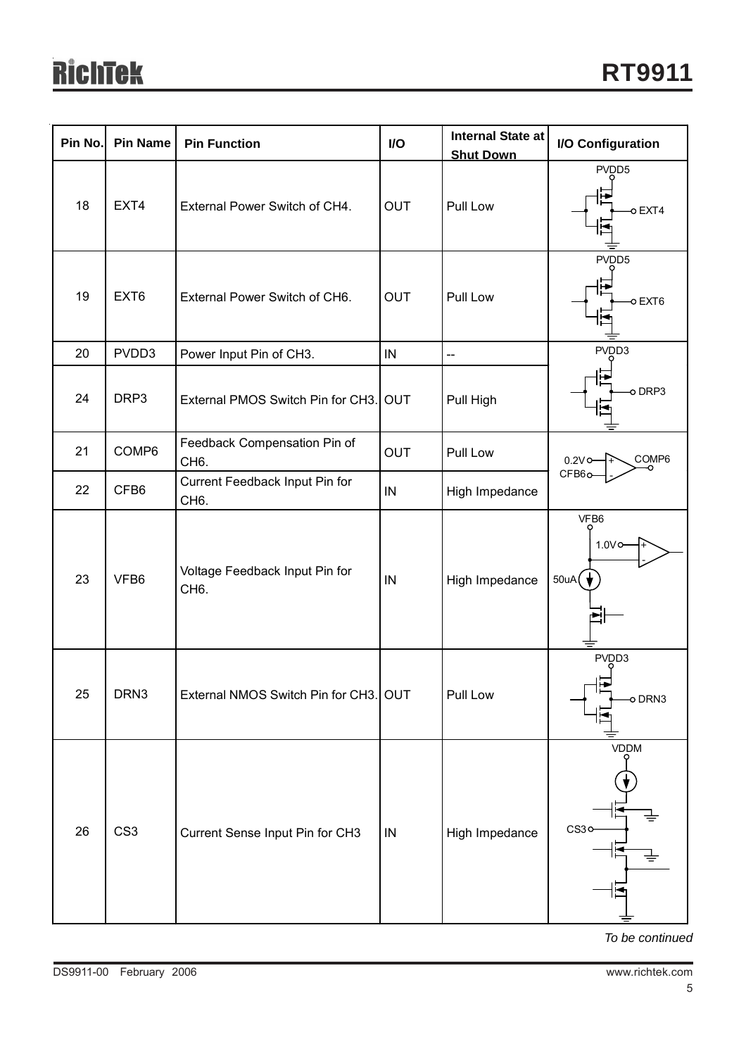# **RichTek**

| Pin No. | <b>Pin Name</b> | <b>Pin Function</b>                                 | I/O        | <b>Internal State at</b><br><b>Shut Down</b> | <b>I/O Configuration</b>    |
|---------|-----------------|-----------------------------------------------------|------------|----------------------------------------------|-----------------------------|
| 18      | EXT4            | External Power Switch of CH4.                       | <b>OUT</b> | Pull Low                                     | PVDD5<br>o EXT4             |
| 19      | EXT6            | External Power Switch of CH6.                       | <b>OUT</b> | Pull Low                                     | PVDD5<br>O EXT <sub>6</sub> |
| 20      | PVDD3           | Power Input Pin of CH3.                             | IN         | --                                           | PVDD3                       |
| 24      | DRP3            | External PMOS Switch Pin for CH3.                   | <b>OUT</b> | Pull High                                    | o DRP3                      |
| 21      | COMP6           | Feedback Compensation Pin of<br>CH <sub>6</sub> .   | <b>OUT</b> | Pull Low                                     | $0.2V$ o-<br>COMP6          |
| 22      | CFB6            | Current Feedback Input Pin for<br>CH <sub>6</sub> . | IN         | High Impedance                               | CFB6o                       |
| 23      | VFB6            | Voltage Feedback Input Pin for<br>CH <sub>6</sub> . | IN         | High Impedance                               | VFB6<br>$1.0V$ o-<br>50uA(  |
| 25      | DRN3            | External NMOS Switch Pin for CH3. OUT               |            | Pull Low                                     | PVDD3<br>ہا ۔<br>o DRN3     |
| 26      | CS <sub>3</sub> | Current Sense Input Pin for CH3                     | IN         | High Impedance                               | VDDM<br>CS30                |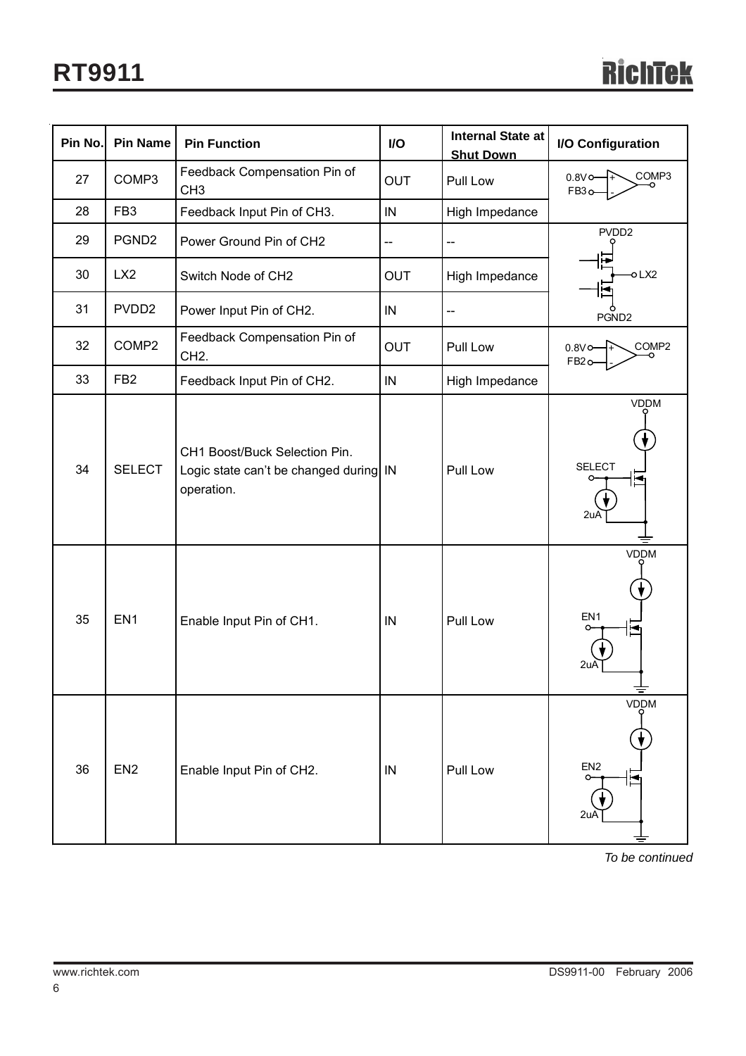| Pin No. | <b>Pin Name</b>   | <b>Pin Function</b>                                                                   | I/O        | <b>Internal State at</b><br><b>Shut Down</b> | I/O Configuration                               |
|---------|-------------------|---------------------------------------------------------------------------------------|------------|----------------------------------------------|-------------------------------------------------|
| 27      | COMP3             | Feedback Compensation Pin of<br>CH <sub>3</sub>                                       | <b>OUT</b> | Pull Low                                     | $0.8V$ o-<br>COMP3<br>FB <sub>3</sub> o         |
| 28      | FB <sub>3</sub>   | Feedback Input Pin of CH3.                                                            | $\sf IN$   | High Impedance                               |                                                 |
| 29      | PGND <sub>2</sub> | Power Ground Pin of CH2                                                               | --         |                                              | PVDD <sub>2</sub>                               |
| 30      | LX <sub>2</sub>   | Switch Node of CH2                                                                    | <b>OUT</b> | High Impedance                               | $-0$ LX2                                        |
| 31      | PVDD <sub>2</sub> | Power Input Pin of CH2.                                                               | $\sf IN$   | --                                           | PGND <sub>2</sub>                               |
| 32      | COMP2             | Feedback Compensation Pin of<br>CH <sub>2</sub> .                                     | <b>OUT</b> | Pull Low                                     | COMP2<br>0.8V <sub>O</sub><br>FB <sub>2</sub> o |
| 33      | FB <sub>2</sub>   | Feedback Input Pin of CH2.                                                            | ${\sf IN}$ | High Impedance                               |                                                 |
| 34      | <b>SELECT</b>     | CH1 Boost/Buck Selection Pin.<br>Logic state can't be changed during IN<br>operation. |            | Pull Low                                     | VDDM<br><b>SELECT</b><br>2u/                    |
| 35      | EN <sub>1</sub>   | Enable Input Pin of CH1.                                                              | IN         | Pull Low                                     | <b>VDDM</b><br>EN <sub>1</sub>                  |
| 36      | EN <sub>2</sub>   | Enable Input Pin of CH2.                                                              | IN         | Pull Low                                     | <b>VDDM</b><br>EN <sub>2</sub>                  |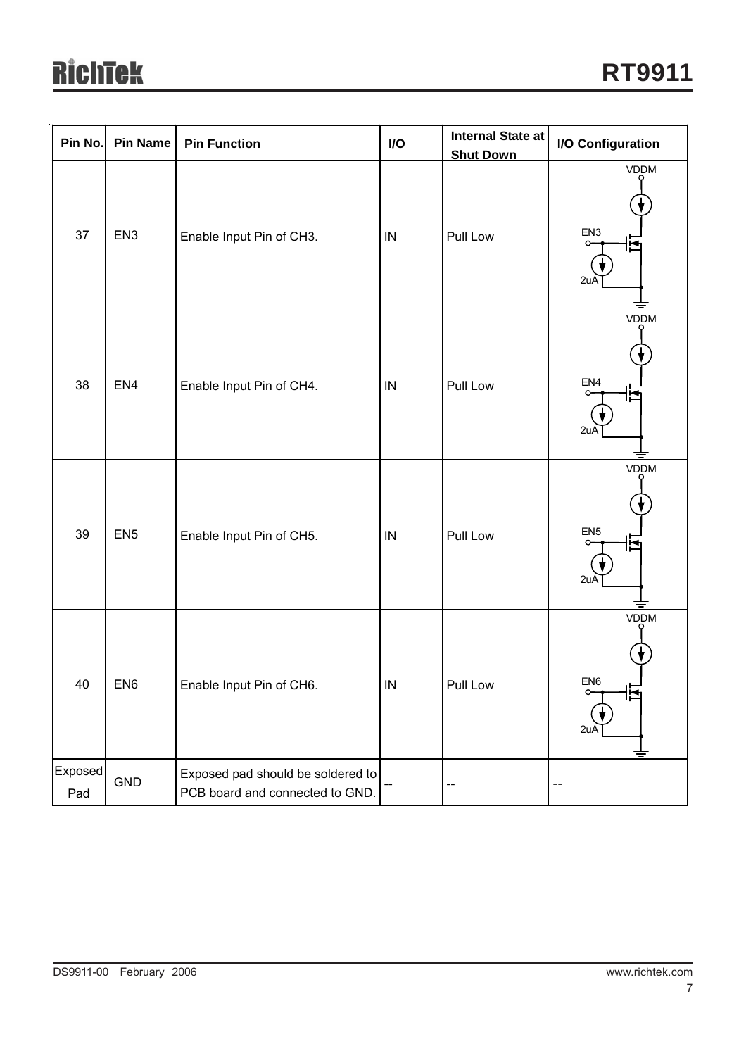# **RichTek**

| Pin No.               | Pin Name        | <b>Pin Function</b>                                                  | I/O        | <b>Internal State at</b><br><b>Shut Down</b> | I/O Configuration                                 |
|-----------------------|-----------------|----------------------------------------------------------------------|------------|----------------------------------------------|---------------------------------------------------|
| 37                    | EN <sub>3</sub> | Enable Input Pin of CH3.                                             | $\sf IN$   | Pull Low                                     | VDDM<br>EN <sub>3</sub><br>Ħ<br>2ι.               |
| 38                    | EN4             | Enable Input Pin of CH4.                                             | ${\sf IN}$ | Pull Low                                     | VDDM<br>EN4<br>Ю<br>2u                            |
| 39                    | EN <sub>5</sub> | Enable Input Pin of CH5.                                             | $\sf IN$   | Pull Low                                     | <b>VDDM</b><br>EN <sub>5</sub><br>2uA             |
| 40                    | EN <sub>6</sub> | Enable Input Pin of CH6.                                             | ${\sf IN}$ | Pull Low                                     | <b>VDDM</b><br>EN <sub>6</sub><br>0-<br>∣ਸ<br>2uA |
| <b>Exposed</b><br>Pad | GND             | Exposed pad should be soldered to<br>PCB board and connected to GND. |            |                                              | --                                                |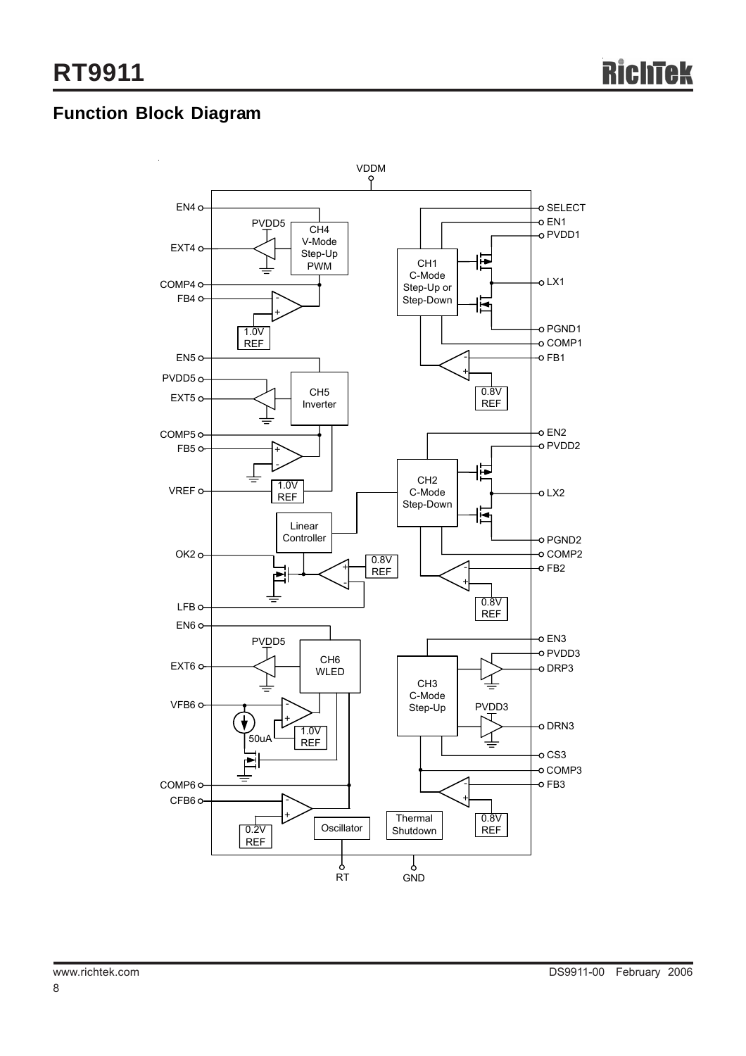## **Function Block Diagram**

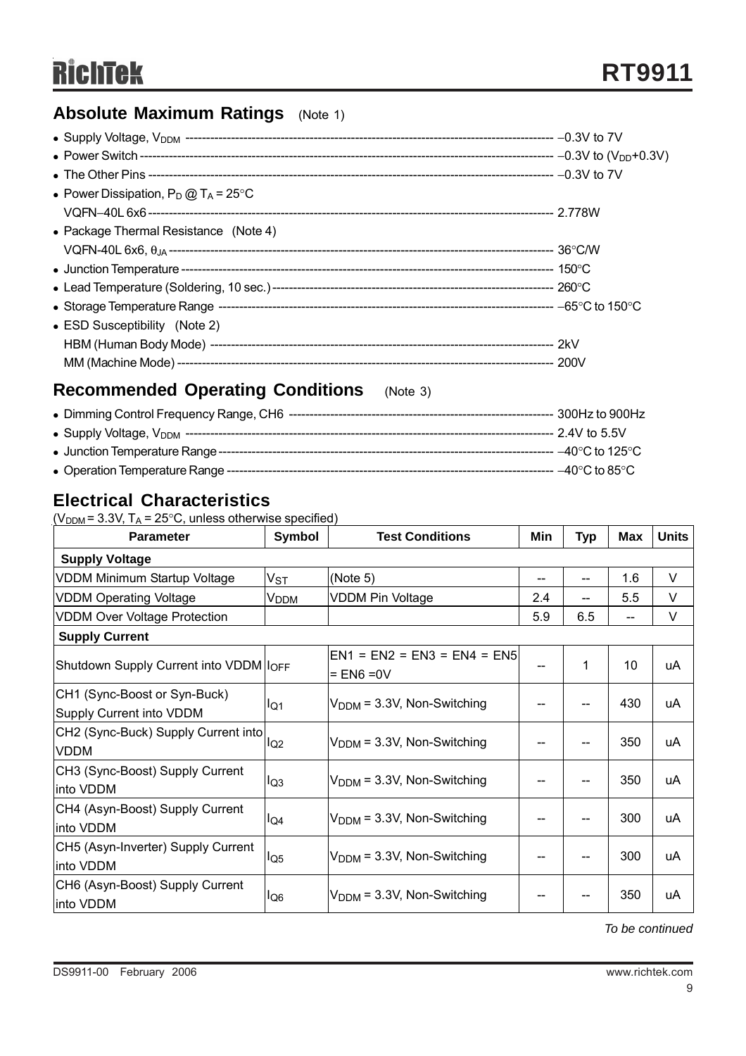### **Absolute Maximum Ratings** (Note 1)

| • Power Dissipation, $P_D @ T_A = 25^{\circ}C$ |  |
|------------------------------------------------|--|
|                                                |  |
| • Package Thermal Resistance (Note 4)          |  |
|                                                |  |
|                                                |  |
|                                                |  |
|                                                |  |
| • ESD Susceptibility (Note 2)                  |  |
|                                                |  |
|                                                |  |
|                                                |  |

### **Recommended Operating Conditions** (Note 3)

| • Dimming Control Frequency Range, CH6 | -- 300Hz to 900Hz                     |
|----------------------------------------|---------------------------------------|
|                                        | -- 2.4V to 5.5V                       |
| • Junction Temperature Range ---       | $-40^{\circ}$ C to 125 $^{\circ}$ C . |
| • Operation Temperature Range -        | $-40^{\circ}$ C to 85 $^{\circ}$ C    |

### **Electrical Characteristics**

 $(V_{\text{DDM}} = 3.3V$ ,  $T_A = 25^{\circ}$ C, unless otherwise specified)

| <b>Parameter</b>                                         | Symbol                     | <b>Test Conditions</b>                         | Min | <b>Typ</b> | Max | <b>Units</b> |
|----------------------------------------------------------|----------------------------|------------------------------------------------|-----|------------|-----|--------------|
| <b>Supply Voltage</b>                                    |                            |                                                |     |            |     |              |
| VDDM Minimum Startup Voltage                             | $\mathsf{V}_{\mathsf{ST}}$ | (Note 5)                                       |     |            | 1.6 | V            |
| <b>VDDM Operating Voltage</b>                            | V <sub>DDM</sub>           | <b>VDDM Pin Voltage</b>                        | 2.4 |            | 5.5 | V            |
| <b>VDDM Over Voltage Protection</b>                      |                            |                                                | 5.9 | 6.5        |     | V            |
| <b>Supply Current</b>                                    |                            |                                                |     |            |     |              |
| Shutdown Supply Current into VDDM IOFF                   |                            | $EN1 = EN2 = EN3 = EN4 = EN5$<br>$=$ EN6 = 0 V |     | 1          | 10  | uA           |
| CH1 (Sync-Boost or Syn-Buck)<br>Supply Current into VDDM | lQ1                        | $V_{DDM}$ = 3.3V, Non-Switching                |     |            | 430 | uA           |
| CH2 (Sync-Buck) Supply Current into<br><b>IVDDM</b>      | $I_{\rm Q2}$               | $V_{DDM}$ = 3.3V, Non-Switching                |     |            | 350 | uA           |
| CH3 (Sync-Boost) Supply Current<br>into VDDM             | lQ3                        | $VDDM$ = 3.3V, Non-Switching                   |     |            | 350 | uA           |
| CH4 (Asyn-Boost) Supply Current<br>linto VDDM            | lQ4                        | $V_{DDM}$ = 3.3V, Non-Switching                |     |            | 300 | uA           |
| CH5 (Asyn-Inverter) Supply Current<br>into VDDM          | $I_{\rm Q5}$               | $V_{DDM}$ = 3.3V, Non-Switching                |     |            | 300 | uA           |
| CH6 (Asyn-Boost) Supply Current<br>into VDDM             | $I_{\text{Q6}}$            | $VDDM$ = 3.3V, Non-Switching                   |     |            | 350 | uA           |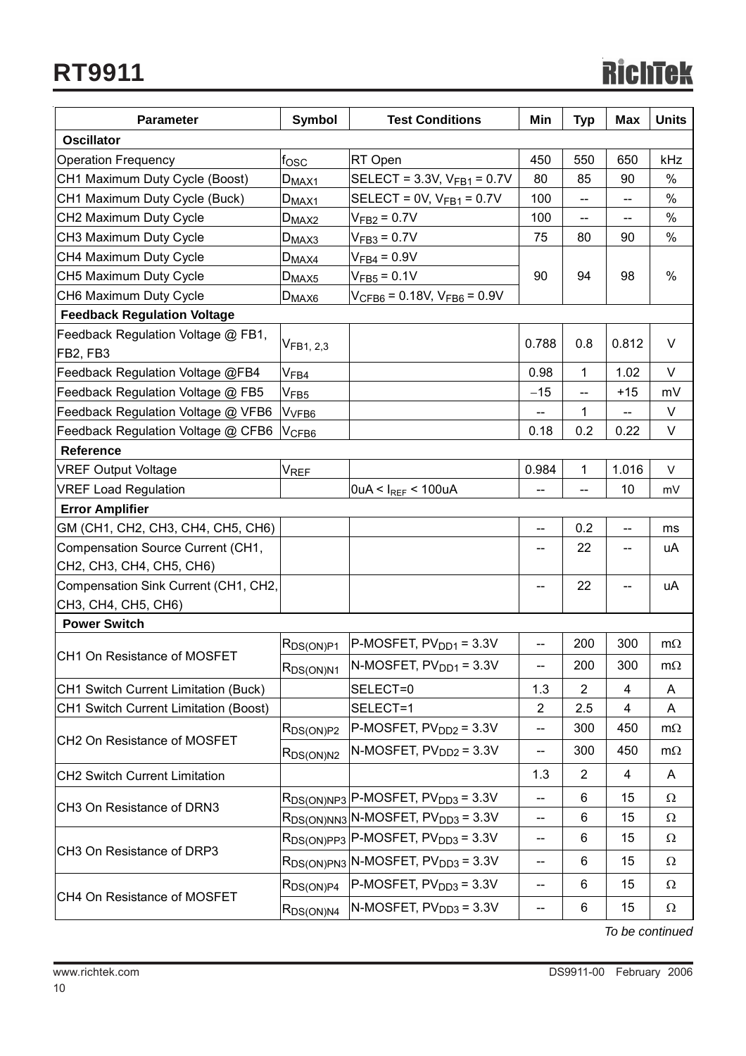| <b>Parameter</b>                      | <b>Symbol</b>               | <b>Test Conditions</b>                      | Min                                   | <b>Typ</b>     | Max                     | <b>Units</b> |
|---------------------------------------|-----------------------------|---------------------------------------------|---------------------------------------|----------------|-------------------------|--------------|
| <b>Oscillator</b>                     |                             |                                             |                                       |                |                         |              |
| <b>Operation Frequency</b>            | fosc                        | RT Open                                     | 450                                   | 550            | 650                     | kHz          |
| CH1 Maximum Duty Cycle (Boost)        | $D_{MAX1}$                  | SELECT = $3.3V$ , $V_{FB1} = 0.7V$          | 80                                    | 85             | 90                      | $\%$         |
| CH1 Maximum Duty Cycle (Buck)         | $D_{MAX1}$                  | SELECT = $0V$ , $V_{FB1} = 0.7V$            | 100                                   |                | --                      | $\%$         |
| CH2 Maximum Duty Cycle                | $D_{MAX2}$                  | $V_{FB2} = 0.7V$                            | 100                                   | --             |                         | $\%$         |
| CH3 Maximum Duty Cycle                | $D_{MAX3}$                  | $V_{FB3} = 0.7V$                            | 75                                    | 80             | 90                      | $\%$         |
| CH4 Maximum Duty Cycle                | $D_{MAX4}$                  | $V_{FB4} = 0.9V$                            |                                       |                |                         |              |
| CH5 Maximum Duty Cycle                | $D_{MAX5}$                  | $V_{FB5} = 0.1 V$                           | 90                                    | 94             | 98                      | $\%$         |
| CH6 Maximum Duty Cycle                | $D_{MAX6}$                  | $V_{CFB6} = 0.18V$ , $V_{FB6} = 0.9V$       |                                       |                |                         |              |
| <b>Feedback Regulation Voltage</b>    |                             |                                             |                                       |                |                         |              |
| Feedback Regulation Voltage @ FB1,    |                             |                                             |                                       |                |                         |              |
| FB2, FB3                              | VFB1, 2,3                   |                                             | 0.788                                 | 0.8            | 0.812                   | V            |
| Feedback Regulation Voltage @FB4      | $\mathsf{V}_{\mathsf{FB4}}$ |                                             | 0.98                                  | 1              | 1.02                    | V            |
| Feedback Regulation Voltage @ FB5     | V <sub>FB5</sub>            |                                             | $-15$                                 | --             | $+15$                   | mV           |
| Feedback Regulation Voltage @ VFB6    | V <sub>VFB6</sub>           |                                             |                                       | 1              |                         | V            |
| Feedback Regulation Voltage @ CFB6    | V <sub>CFB6</sub>           |                                             | 0.18                                  | 0.2            | 0.22                    | V            |
| Reference                             |                             |                                             |                                       |                |                         |              |
| <b>VREF Output Voltage</b>            | <b>VREF</b>                 |                                             | 0.984                                 | 1              | 1.016                   | V            |
| <b>VREF Load Regulation</b>           |                             | $0 uA < I_{REF} < 100 uA$                   |                                       | $-$            | 10                      | mV           |
| <b>Error Amplifier</b>                |                             |                                             |                                       |                |                         |              |
| GM (CH1, CH2, CH3, CH4, CH5, CH6)     |                             |                                             | --                                    | 0.2            | $-$                     | ms           |
| Compensation Source Current (CH1,     |                             |                                             | --                                    | 22             |                         | uA           |
| CH2, CH3, CH4, CH5, CH6)              |                             |                                             |                                       |                |                         |              |
| Compensation Sink Current (CH1, CH2,  |                             |                                             | --                                    | 22             |                         | uA           |
| CH3, CH4, CH5, CH6)                   |                             |                                             |                                       |                |                         |              |
| <b>Power Switch</b>                   |                             |                                             |                                       |                |                         |              |
|                                       | R <sub>DS(ON)P1</sub>       | P-MOSFET, $PVDD1 = 3.3V$                    |                                       | 200            | 300                     | $m\Omega$    |
| CH1 On Resistance of MOSFET           | R <sub>DS(ON)N1</sub>       | N-MOSFET, $PVDD1 = 3.3V$                    | --                                    | 200            | 300                     | $m\Omega$    |
| CH1 Switch Current Limitation (Buck)  |                             | SELECT=0                                    | 1.3                                   | $\overline{2}$ | $\overline{\mathbf{4}}$ | A            |
| CH1 Switch Current Limitation (Boost) |                             | SELECT=1                                    | $\overline{2}$                        | 2.5            | $\overline{4}$          | A            |
|                                       | $R_{DS(ON)P2}$              | P-MOSFET, $PVDD2 = 3.3V$                    | $\hspace{0.05cm}$ – $\hspace{0.05cm}$ | 300            | 450                     | $m\Omega$    |
| CH2 On Resistance of MOSFET           | $R_{DS(ON)N2}$              | N-MOSFET, $PV_{DD2} = 3.3V$                 | --                                    | 300            | 450                     | $m\Omega$    |
| <b>CH2 Switch Current Limitation</b>  |                             |                                             | 1.3                                   | $\overline{2}$ | 4                       | A            |
|                                       |                             | $R_{DS(ON)NP3}$ P-MOSFET, $PV_{DD3} = 3.3V$ |                                       | 6              | 15                      | Ω            |
| CH3 On Resistance of DRN3             |                             | $R_{DS(ON)NN3}$ N-MOSFET, $PV_{DD3} = 3.3V$ | --                                    | 6              | 15                      | Ω            |
|                                       |                             | $R_{DS(ON)PP3}$ P-MOSFET, $PV_{DD3} = 3.3V$ | --                                    | 6              | 15                      | Ω            |
| CH3 On Resistance of DRP3             |                             | $R_{DS(ON)PN3}$ N-MOSFET, $PV_{DD3} = 3.3V$ | --                                    | 6              | 15                      | Ω            |
|                                       | $R_{DS(ON)P4}$              | $ P-MOSET, PVDD3 = 3.3V$                    | --                                    | 6              | 15                      | Ω            |
| CH4 On Resistance of MOSFET           | R <sub>DS(ON)N4</sub>       | $N-MOSFET, PVDD3 = 3.3V$                    | --                                    | 6              | 15                      | $\Omega$     |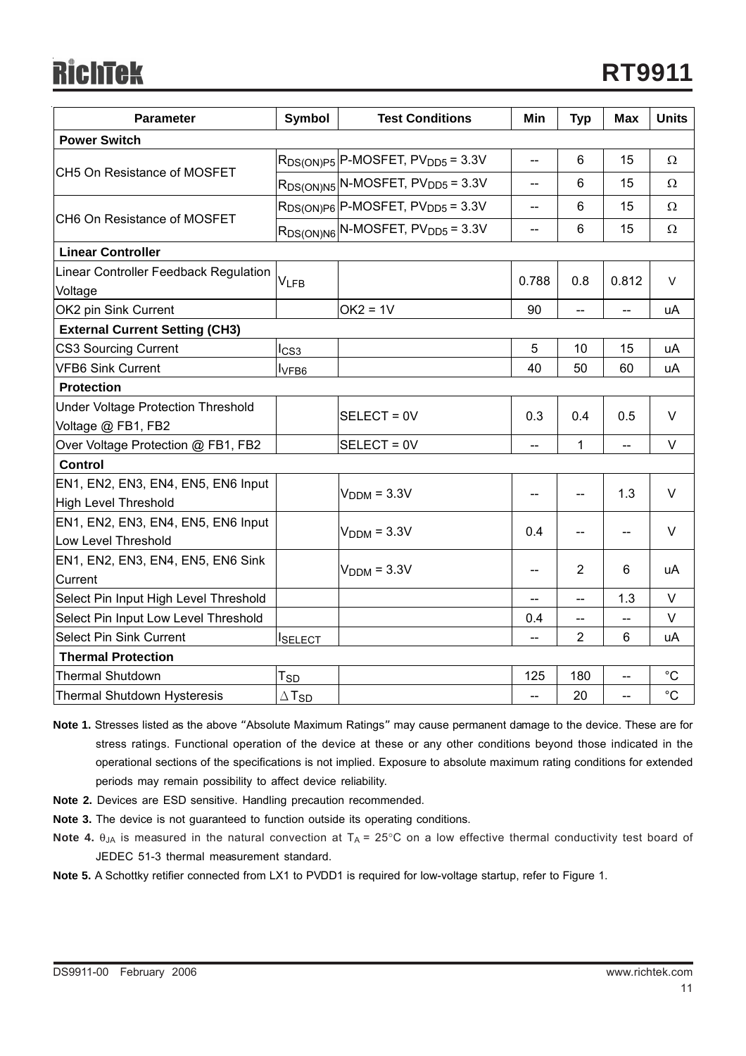| <b>Parameter</b>                                                  | <b>Symbol</b>     | <b>Test Conditions</b>                            | Min   | <b>Typ</b>                            | <b>Max</b> | <b>Units</b> |
|-------------------------------------------------------------------|-------------------|---------------------------------------------------|-------|---------------------------------------|------------|--------------|
| <b>Power Switch</b>                                               |                   |                                                   |       |                                       |            |              |
|                                                                   |                   | $R_{DS(ON)PS}$ P-MOSFET, $PV_{DD5} = 3.3V$        | ΞĒ,   | 6                                     | 15         | $\Omega$     |
| CH5 On Resistance of MOSFET                                       |                   | $R_{DS(ON)NS}$ N-MOSFET, PV <sub>DD5</sub> = 3.3V | $-$   | 6                                     | 15         | Ω            |
|                                                                   |                   | $R_{DS(ON)PG}$ P-MOSFET, $PV_{DD5} = 3.3V$        | --    | 6                                     | 15         | Ω            |
| CH6 On Resistance of MOSFET                                       |                   | $R_{DS(ON)NS}$ N-MOSFET, $PV_{DD5} = 3.3V$        | $-$   | 6                                     | 15         | Ω            |
| <b>Linear Controller</b>                                          |                   |                                                   |       |                                       |            |              |
| Linear Controller Feedback Regulation<br>Voltage                  | <b>VLFB</b>       |                                                   | 0.788 | 0.8                                   | 0.812      | V            |
| OK2 pin Sink Current                                              |                   | $OK2 = 1V$                                        | 90    | $\overline{\phantom{0}}$              |            | uA           |
| <b>External Current Setting (CH3)</b>                             |                   |                                                   |       |                                       |            |              |
| CS3 Sourcing Current                                              | $I_{CS3}$         |                                                   | 5     | 10                                    | 15         | uA           |
| <b>VFB6 Sink Current</b>                                          | l <sub>VFB6</sub> |                                                   | 40    | 50                                    | 60         | uA           |
| <b>Protection</b>                                                 |                   |                                                   |       |                                       |            |              |
| <b>Under Voltage Protection Threshold</b><br>Voltage @ FB1, FB2   |                   | SELECT = 0V                                       | 0.3   | 0.4                                   | 0.5        | V            |
| Over Voltage Protection @ FB1, FB2                                |                   | SELECT = 0V                                       |       | 1                                     |            | V            |
| <b>Control</b>                                                    |                   |                                                   |       |                                       |            |              |
| EN1, EN2, EN3, EN4, EN5, EN6 Input<br><b>High Level Threshold</b> |                   | $VDDM = 3.3V$                                     |       | $\hspace{0.05cm}$ – $\hspace{0.05cm}$ | 1.3        | $\vee$       |
| EN1, EN2, EN3, EN4, EN5, EN6 Input<br>Low Level Threshold         |                   | $VDDM = 3.3V$                                     | 0.4   | --                                    | --         | $\vee$       |
| EN1, EN2, EN3, EN4, EN5, EN6 Sink<br>Current                      |                   | $VDDM = 3.3V$                                     | $-$   | $\overline{2}$                        | 6          | uA           |
| Select Pin Input High Level Threshold                             |                   |                                                   |       | Ξ.                                    | 1.3        | V            |
| Select Pin Input Low Level Threshold                              |                   |                                                   | 0.4   | $\overline{\phantom{a}}$              | --         | V            |
| <b>Select Pin Sink Current</b>                                    | <b>I</b> SELECT   |                                                   |       | $\overline{2}$                        | 6          | uA           |
| <b>Thermal Protection</b>                                         |                   |                                                   |       |                                       |            |              |
| <b>Thermal Shutdown</b>                                           | Tsp               |                                                   | 125   | 180                                   | --         | $^{\circ}C$  |
| <b>Thermal Shutdown Hysteresis</b>                                | $\Delta$ Tsp      |                                                   |       | 20                                    |            | $^{\circ}C$  |

- **Note 1.** Stresses listed as the above "Absolute Maximum Ratings" may cause permanent damage to the device. These are for stress ratings. Functional operation of the device at these or any other conditions beyond those indicated in the operational sections of the specifications is not implied. Exposure to absolute maximum rating conditions for extended periods may remain possibility to affect device reliability.
- **Note 2.** Devices are ESD sensitive. Handling precaution recommended.
- **Note 3.** The device is not guaranteed to function outside its operating conditions.
- **Note 4.** θ<sub>JA</sub> is measured in the natural convection at T<sub>A</sub> = 25°C on a low effective thermal conductivity test board of JEDEC 51-3 thermal measurement standard.
- **Note 5.** A Schottky retifier connected from LX1 to PVDD1 is required for low-voltage startup, refer to Figure 1.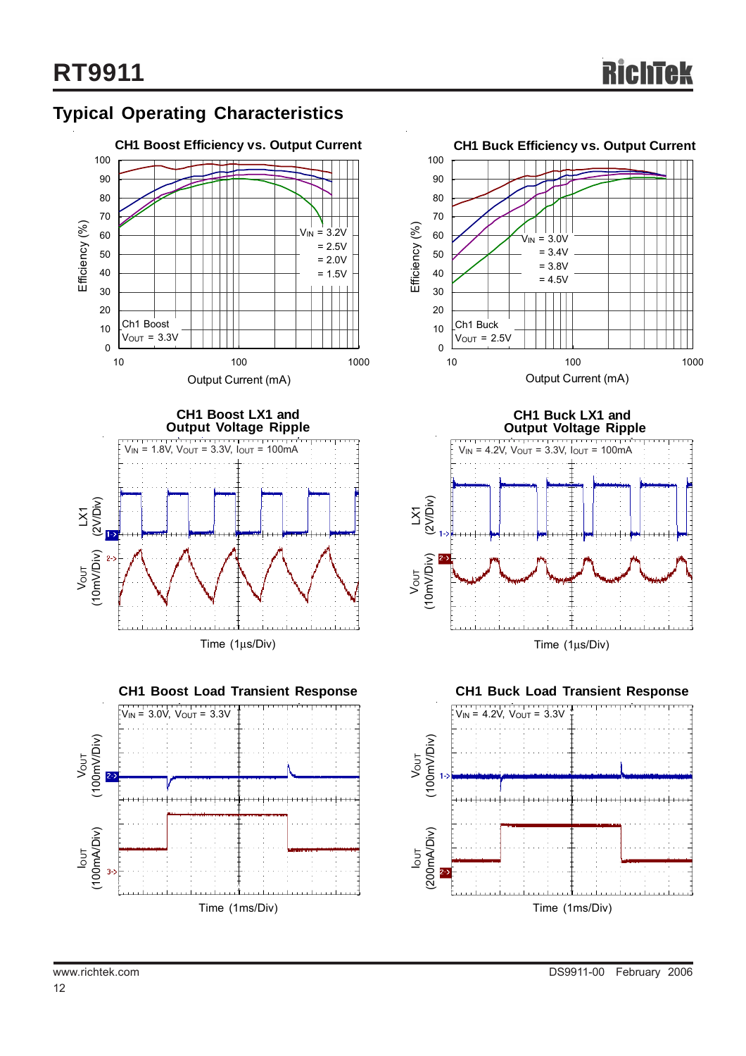### **Typical Operating Characteristics**











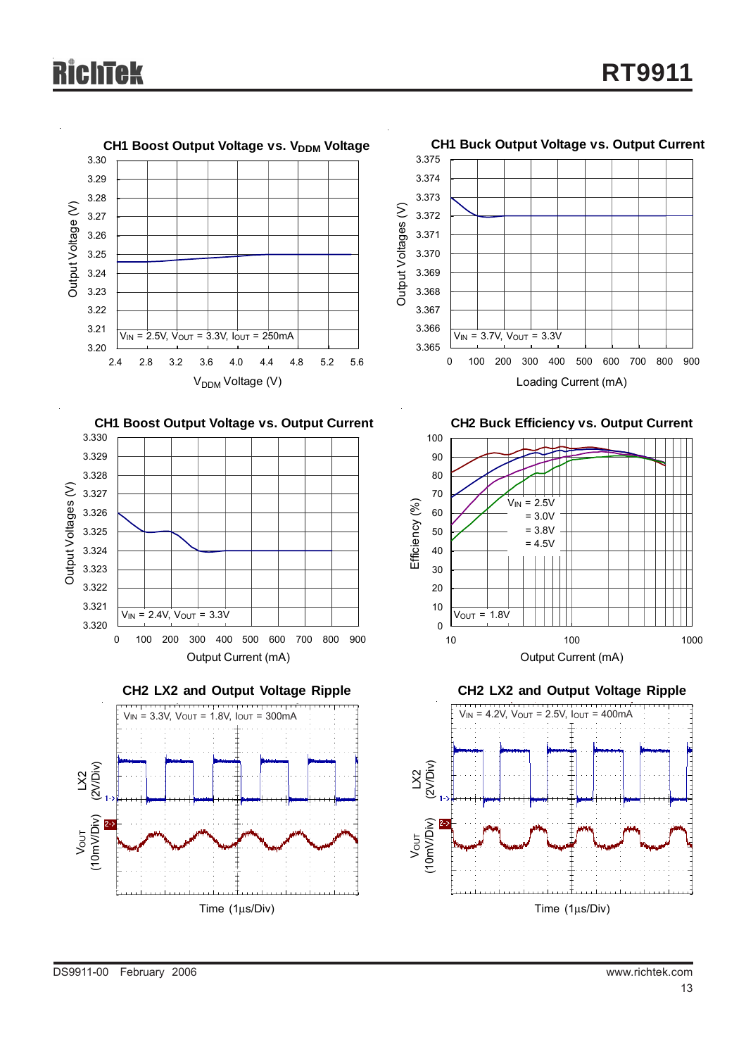







**CH2 Buck Efficiency vs. Output Current**



**CH2 LX2 and Output Voltage Ripple**

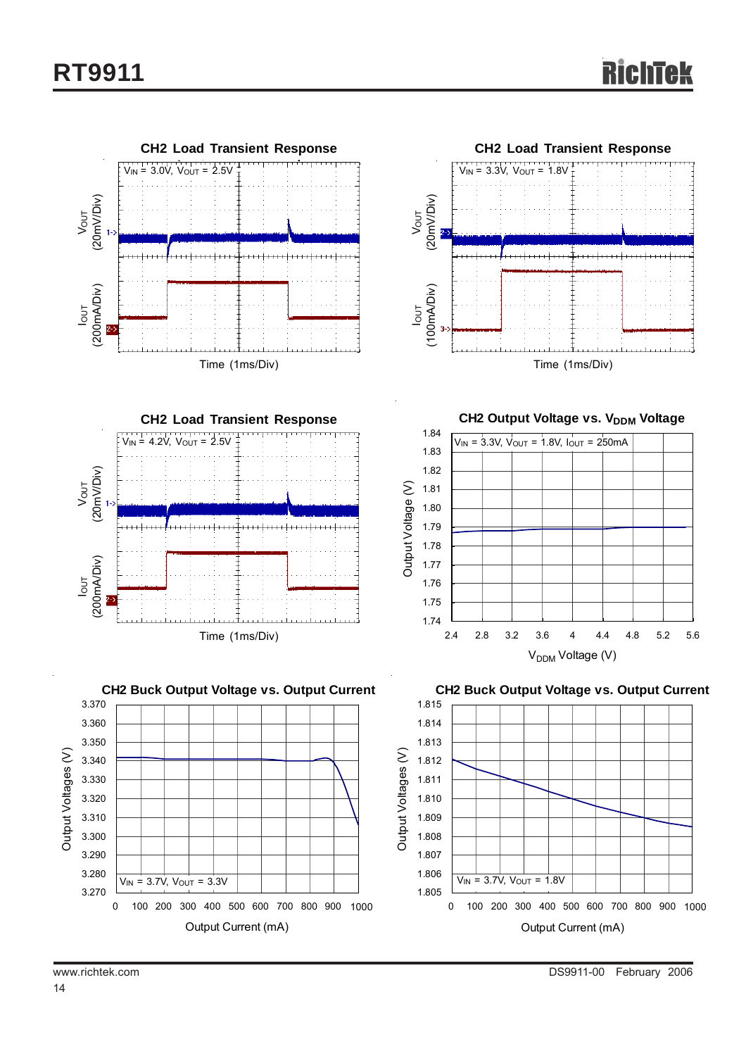







**CH2 Output Voltage vs. V<sub>DDM</sub> Voltage** 



**CH2 Buck Output Voltage vs. Output Current**

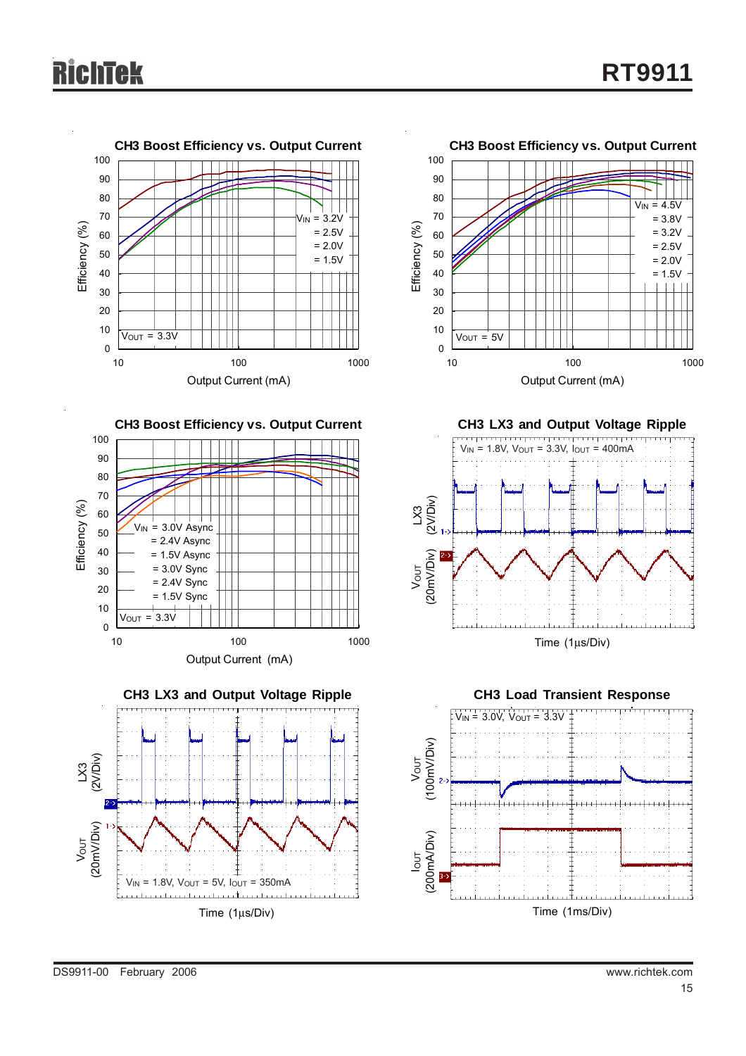



**CH3 LX3 and Output Voltage Ripple**





**CH3 Boost Efficiency vs. Output Current** 100 90 80 70 Efficiency (%) Efficiency (%) 60  $V_{IN}$  = 3.0V Async 50  $= 2.4V$  Async 40  $= 1.5V$  Async = 3.0V Sync 30  $= 2.4V$  Sync 20 = 1.5V Sync10  $V_{\text{OUT}} = 3.3\overline{V}$  $\Omega$ 10 100 1000 Output Current (mA)

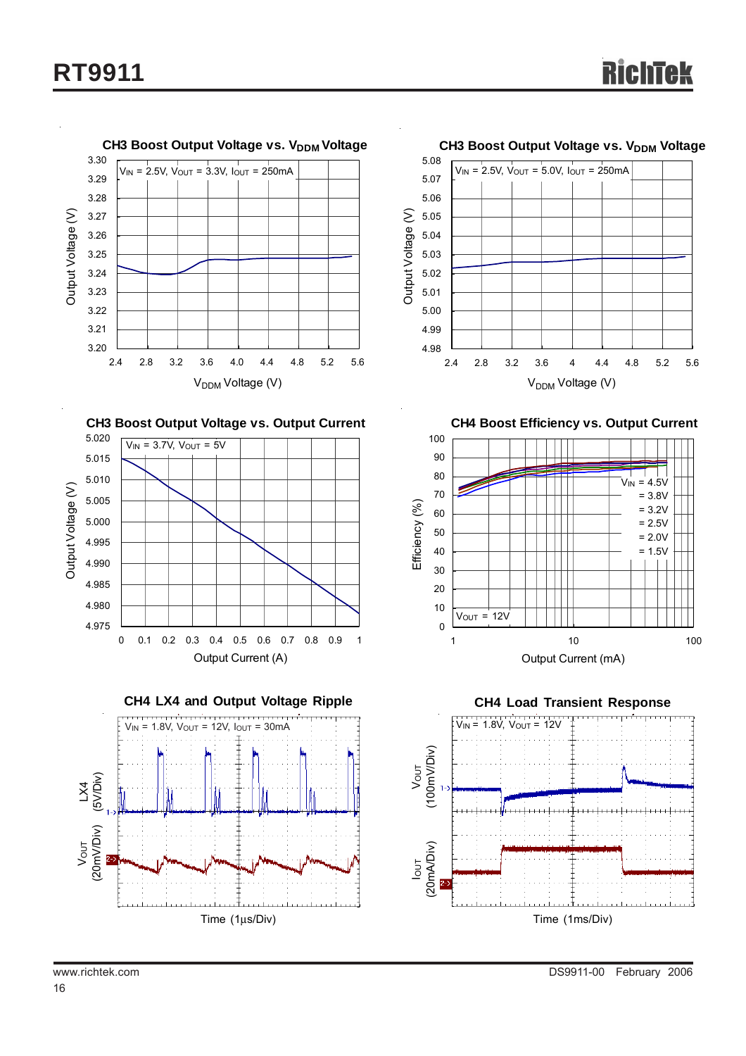







**CH3 Boost Output Voltage vs. V<sub>DDM</sub> Voltage** 



**CH4 Boost Efficiency vs. Output Current**



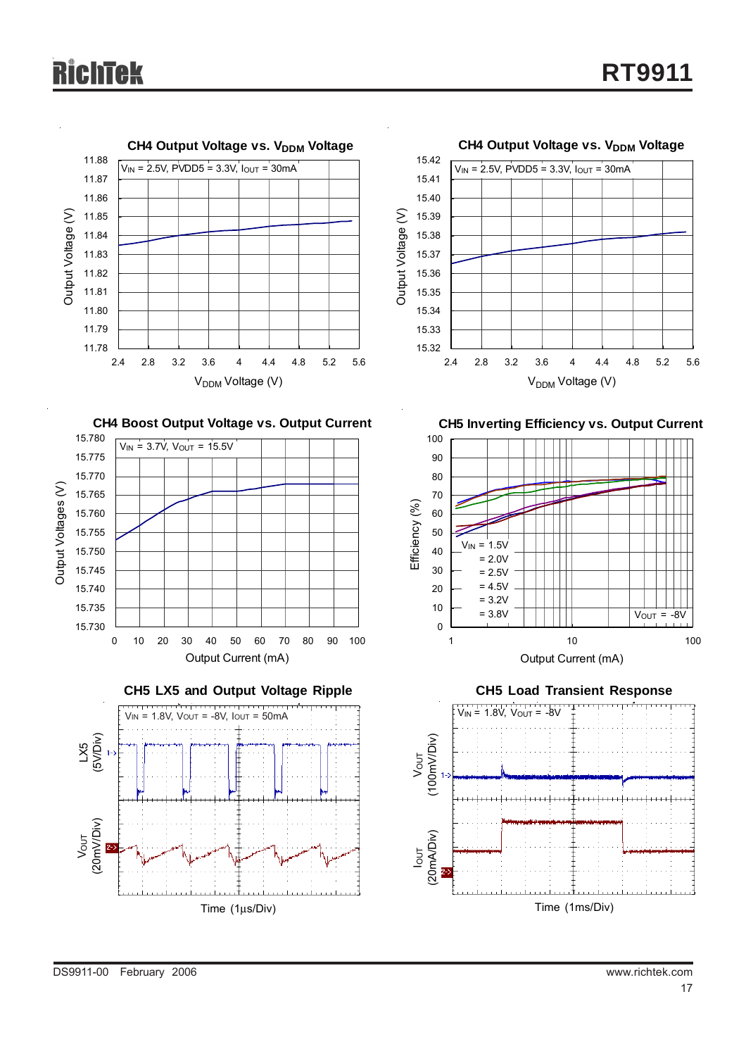







**CH4 Output Voltage vs. VDDM Voltage** 



**CH5 Inverting Efficiency vs. Output Current**



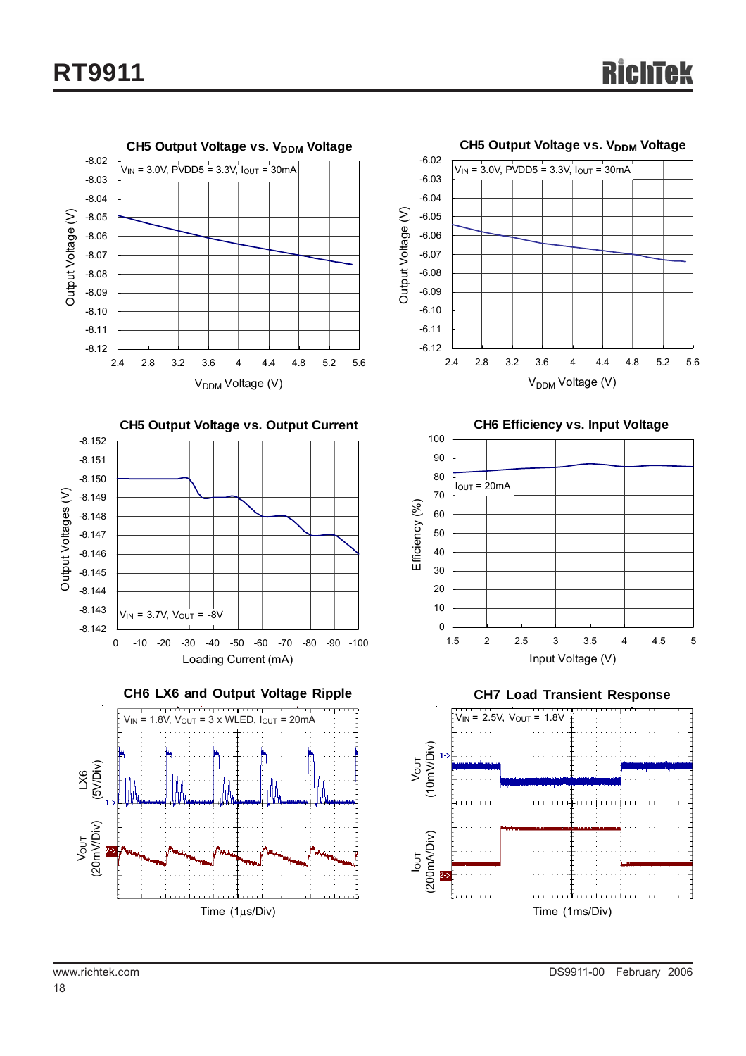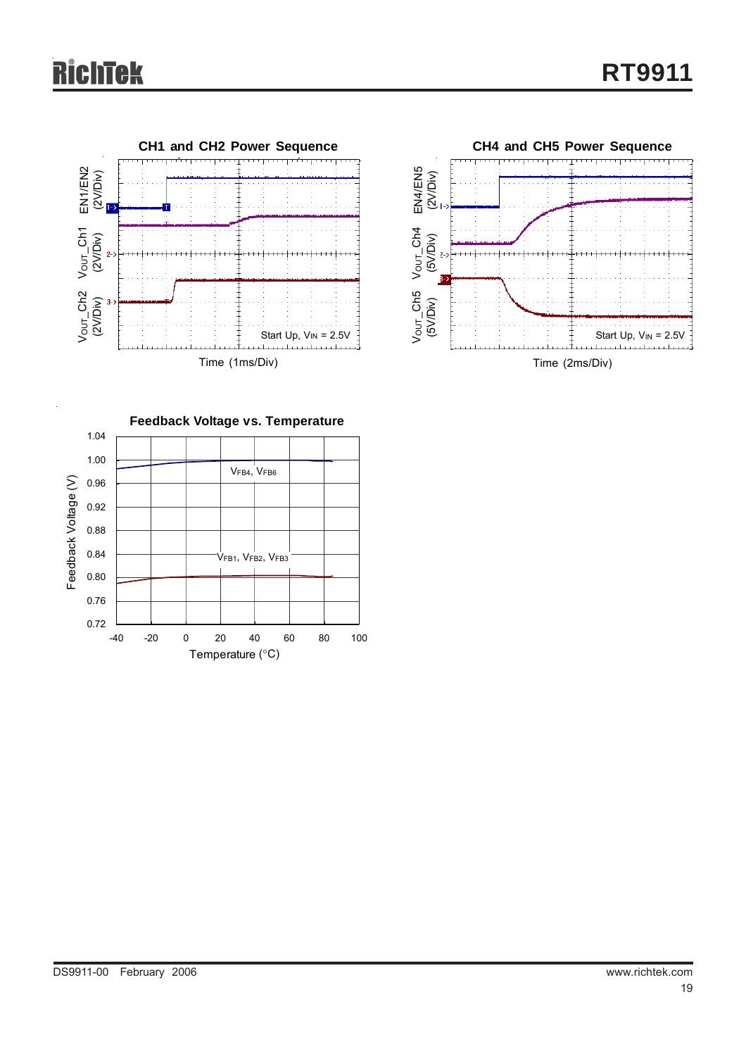



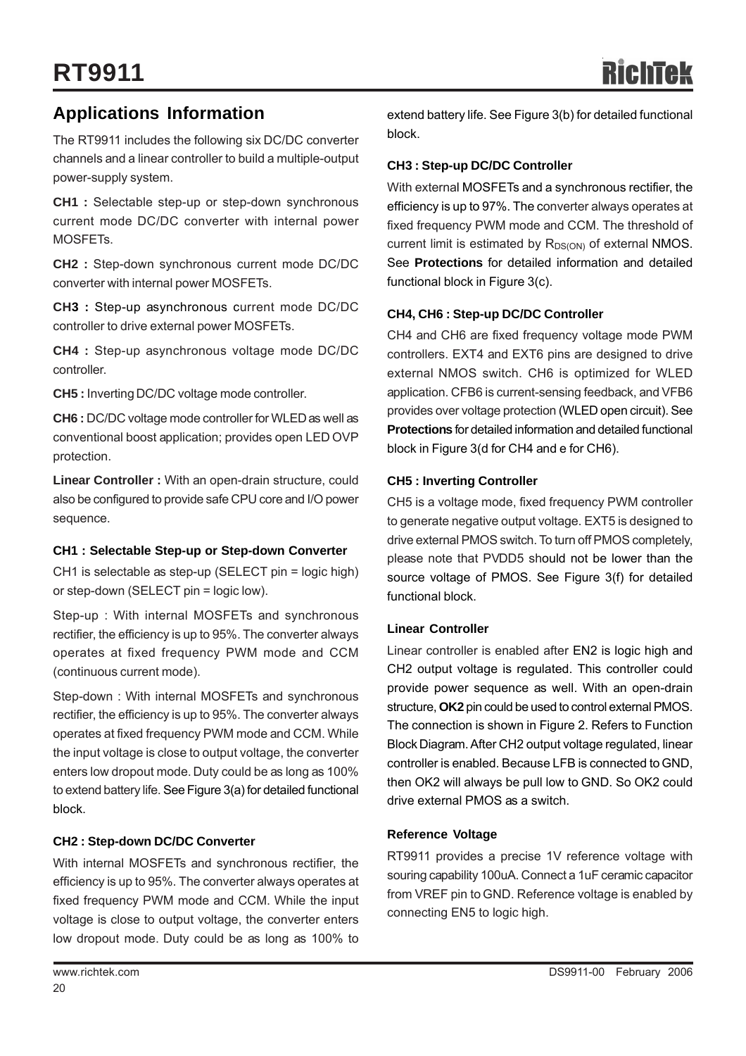### **Applications Information**

The RT9911 includes the following six DC/DC converter channels and a linear controller to build a multiple-output power-supply system.

**CH1 :** Selectable step-up or step-down synchronous current mode DC/DC converter with internal power MOSFETs.

**CH2 :** Step-down synchronous current mode DC/DC converter with internal power MOSFETs.

**CH3 :** Step-up asynchronous current mode DC/DC controller to drive external power MOSFETs.

**CH4 :** Step-up asynchronous voltage mode DC/DC controller.

**CH5 :** Inverting DC/DC voltage mode controller.

**CH6 :** DC/DC voltage mode controller for WLED as well as conventional boost application; provides open LED OVP protection.

**Linear Controller :** With an open-drain structure, could also be configured to provide safe CPU core and I/O power sequence.

#### **CH1 : Selectable Step-up or Step-down Converter**

CH1 is selectable as step-up (SELECT pin = logic high) or step-down (SELECT pin = logic low).

Step-up : With internal MOSFETs and synchronous rectifier, the efficiency is up to 95%. The converter always operates at fixed frequency PWM mode and CCM (continuous current mode).

Step-down : With internal MOSFETs and synchronous rectifier, the efficiency is up to 95%. The converter always operates at fixed frequency PWM mode and CCM. While the input voltage is close to output voltage, the converter enters low dropout mode. Duty could be as long as 100% to extend battery life. See Figure 3(a) for detailed functional block.

#### **CH2 : Step-down DC/DC Converter**

With internal MOSFETs and synchronous rectifier, the efficiency is up to 95%. The converter always operates at fixed frequency PWM mode and CCM. While the input voltage is close to output voltage, the converter enters low dropout mode. Duty could be as long as 100% to

#### **CH3 : Step-up DC/DC Controller**

With external MOSFETs and a synchronous rectifier, the efficiency is up to 97%. The converter always operates at fixed frequency PWM mode and CCM. The threshold of current limit is estimated by  $R_{DS(ON)}$  of external NMOS. See **Protections** for detailed information and detailed functional block in Figure 3(c).

#### **CH4, CH6 : Step-up DC/DC Controller**

CH4 and CH6 are fixed frequency voltage mode PWM controllers. EXT4 and EXT6 pins are designed to drive external NMOS switch. CH6 is optimized for WLED application. CFB6 is current-sensing feedback, and VFB6 provides over voltage protection (WLED open circuit). See **Protections** for detailed information and detailed functional block in Figure 3(d for CH4 and e for CH6).

#### **CH5 : Inverting Controller**

CH5 is a voltage mode, fixed frequency PWM controller to generate negative output voltage. EXT5 is designed to drive external PMOS switch. To turn off PMOS completely, please note that PVDD5 should not be lower than the source voltage of PMOS. See Figure 3(f) for detailed functional block.

#### **Linear Controller**

Linear controller is enabled after EN2 is logic high and CH2 output voltage is regulated. This controller could provide power sequence as well. With an open-drain structure, **OK2** pin could be used to control external PMOS. The connection is shown in Figure 2. Refers to Function Block Diagram. After CH2 output voltage regulated, linear controller is enabled. Because LFB is connected to GND, then OK2 will always be pull low to GND. So OK2 could drive external PMOS as a switch.

### **Reference Voltage**

RT9911 provides a precise 1V reference voltage with souring capability 100uA. Connect a 1uF ceramic capacitor from VREF pin to GND. Reference voltage is enabled by connecting EN5 to logic high.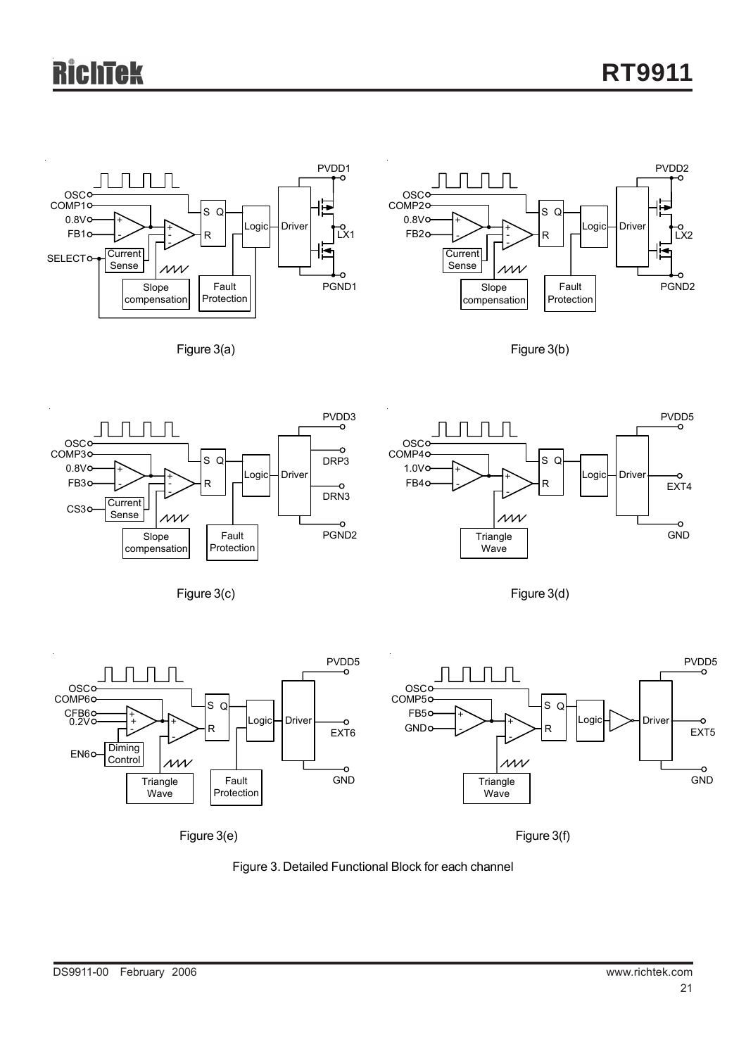

Figure 3(a)



Figure 3(b)



Figure 3(c)







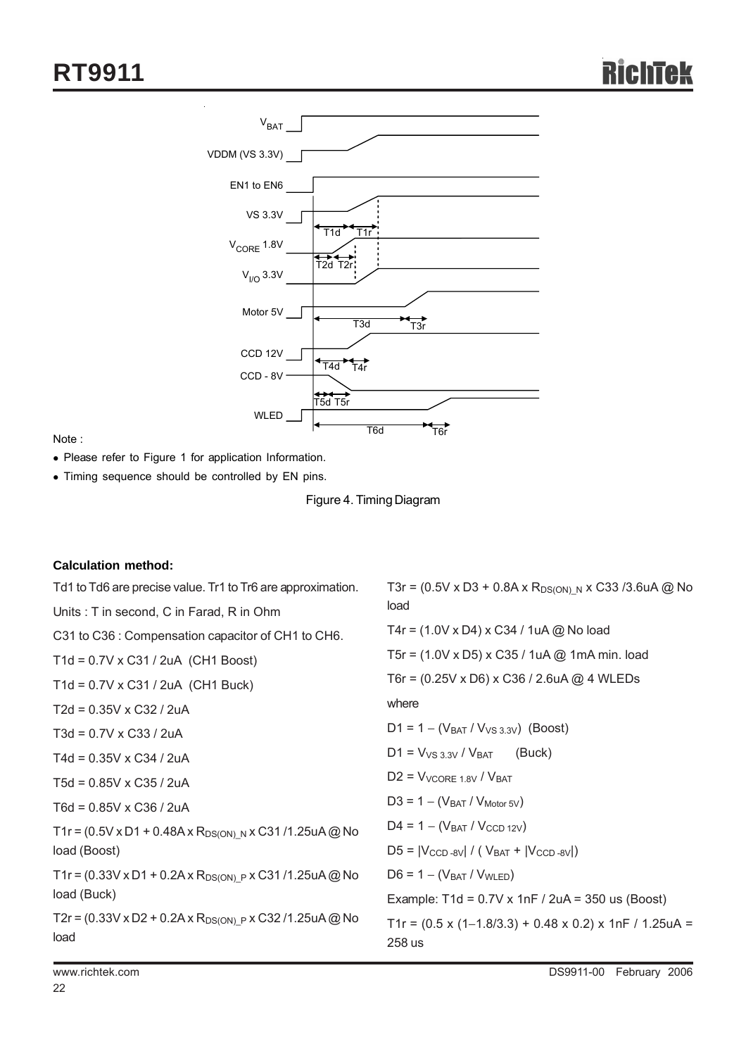

Note :

- Please refer to Figure 1 for application Information.
- Timing sequence should be controlled by EN pins.

| Figure 4. Timing Diagram |  |  |
|--------------------------|--|--|
|--------------------------|--|--|

#### **Calculation method:**

| Td1 to Td6 are precise value. Tr1 to Tr6 are approximation.                       | T3r = $(0.5V \times D3 + 0.8A \times R_{DS(ON)} N \times C33 / 3.6U A \omega N$    |
|-----------------------------------------------------------------------------------|------------------------------------------------------------------------------------|
| Units: T in second, C in Farad, R in Ohm                                          | load                                                                               |
| C31 to C36 : Compensation capacitor of CH1 to CH6.                                | T4r = $(1.0V \times D4) \times C34 / 1 uA \omega N$ o load                         |
| T1d = $0.7V \times C31 / 2uA$ (CH1 Boost)                                         | T5r = $(1.0V \times D5) \times C35 / 1 uA \text{ @ } 1 mA \text{ min. load}$       |
| T1d = $0.7V \times C31 / 2uA$ (CH1 Buck)                                          | T6r = $(0.25V \times D6) \times C36 / 2.6uA \omega$ 4 WLEDs                        |
| T2d = $0.35V \times C32 / 2uA$                                                    | where                                                                              |
| $T3d = 0.7V \times C33 / 2uA$                                                     | $D1 = 1 - (V_{BAT} / V_{VS 3.3V})$ (Boost)                                         |
| T4d = $0.35V \times C34 / 2uA$                                                    | $D1 = V_{VS}$ 3.3V / $V_{BAT}$<br>(Buck)                                           |
| $T5d = 0.85V \times C35 / 2uA$                                                    | $D2 = V_{VCORE 1.8V} / V_{BAT}$                                                    |
| T6d = $0.85V \times C36 / 2uA$                                                    | $D3 = 1 - (V_{BAT} / V_{Motor 5V})$                                                |
| T1r = $(0.5V \times D1 + 0.48A \times R_{DS(ON)} N \times C31/1.25U A \omega N$ o | $D4 = 1 - (V_{BAT} / V_{CCD 12V})$                                                 |
| load (Boost)                                                                      | $D5 =  V_{CCD-8V}  / (V_{BAT} +  V_{CCD-8V} )$                                     |
| T1r = $(0.33V \times D1 + 0.2A \times R_{DS(ON)}$ p x C31/1.25uA @ No             | $D6 = 1 - (V_{BAT} / V_{WLED})$                                                    |
| load (Buck)                                                                       | Example: T1d = $0.7V \times 1nF / 2uA = 350 us (Boost)$                            |
| T2r = $(0.33V \times D2 + 0.2A \times R_{DS(ON)}$ p x C32/1.25uA @ No<br>load     | T1r = $(0.5 \times (1-1.8/3.3) + 0.48 \times 0.2) \times 1nF / 1.25uA =$<br>258 us |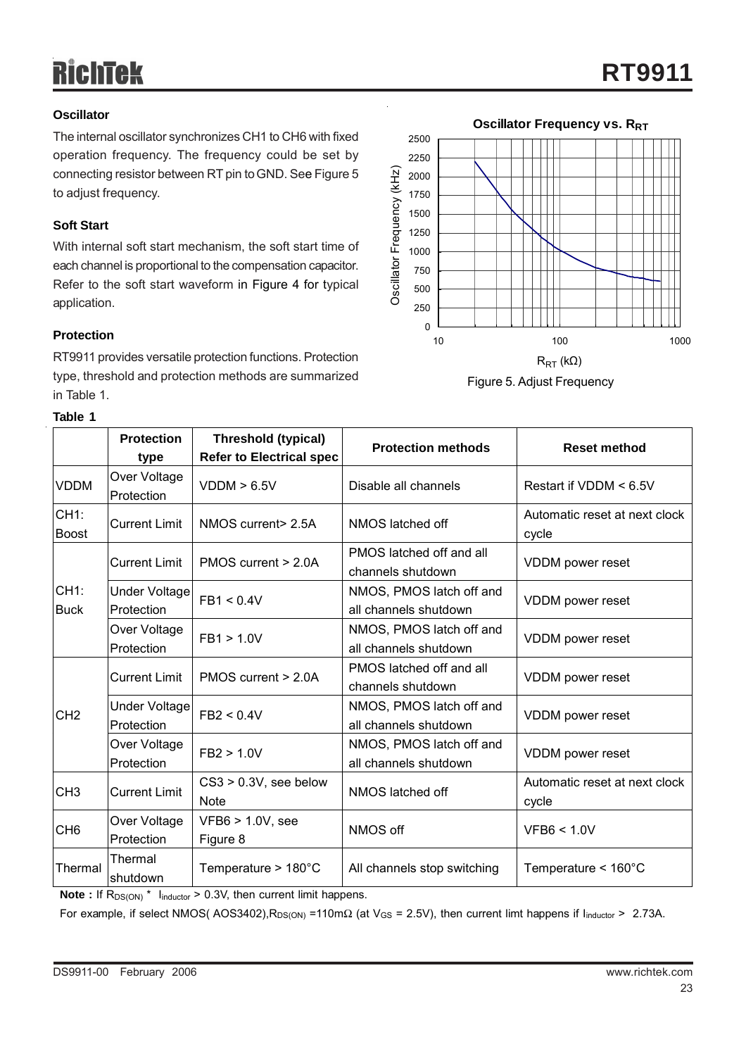#### **Oscillator**

The internal oscillator synchronizes CH1 to CH6 with fixed operation frequency. The frequency could be set by connecting resistor between RT pin to GND. See Figure 5 to adjust frequency.

#### **Soft Start**

With internal soft start mechanism, the soft start time of each channel is proportional to the compensation capacitor. Refer to the soft start waveform in Figure 4 for typical application.

#### **Protection**

RT9911 provides versatile protection functions. Protection type, threshold and protection methods are summarized in Table 1.

| anle<br>п |
|-----------|
|-----------|



Figure 5. Adjust Frequency

|                                   | <b>Protection</b><br>type   | <b>Threshold (typical)</b><br><b>Refer to Electrical spec</b> | <b>Protection methods</b>                         | <b>Reset method</b>                    |  |  |  |
|-----------------------------------|-----------------------------|---------------------------------------------------------------|---------------------------------------------------|----------------------------------------|--|--|--|
| <b>VDDM</b>                       | Over Voltage<br>Protection  | VDDM > 6.5V                                                   | Disable all channels                              | Restart if VDDM < 6.5V                 |  |  |  |
| CH <sub>1</sub> :<br><b>Boost</b> | <b>Current Limit</b>        | NMOS current> 2.5A                                            | NMOS latched off                                  | Automatic reset at next clock<br>cycle |  |  |  |
| CH <sub>1</sub> :<br><b>Buck</b>  | <b>Current Limit</b>        | PMOS current > 2.0A                                           | PMOS latched off and all<br>channels shutdown     | VDDM power reset                       |  |  |  |
|                                   | Under Voltage<br>Protection | FB1 < 0.4V                                                    | NMOS, PMOS latch off and<br>all channels shutdown | VDDM power reset                       |  |  |  |
|                                   | Over Voltage<br>Protection  | FB1 > 1.0V                                                    | NMOS, PMOS latch off and<br>all channels shutdown | VDDM power reset                       |  |  |  |
| CH <sub>2</sub>                   | <b>Current Limit</b>        | PMOS current > 2.0A                                           | PMOS latched off and all<br>channels shutdown     | VDDM power reset                       |  |  |  |
|                                   | Under Voltage<br>Protection | FB2 < 0.4V                                                    | NMOS, PMOS latch off and<br>all channels shutdown | VDDM power reset                       |  |  |  |
|                                   | Over Voltage<br>Protection  | FB2 > 1.0V                                                    | NMOS, PMOS latch off and<br>all channels shutdown | VDDM power reset                       |  |  |  |
| CH <sub>3</sub>                   | <b>Current Limit</b>        | CS3 > 0.3V, see below<br><b>Note</b>                          | NMOS latched off                                  | Automatic reset at next clock<br>cycle |  |  |  |
| CH <sub>6</sub>                   | Over Voltage<br>Protection  | VFB6 > 1.0V, see<br>Figure 8                                  | NMOS off                                          | VFB6 < 1.0V                            |  |  |  |
| Thermal                           | Thermal<br>shutdown         | Temperature $> 180^{\circ}$ C                                 | All channels stop switching                       | Temperature $< 160^{\circ}$ C          |  |  |  |

**Note :** If R<sub>DS(ON)</sub> \* I<sub>inductor</sub> > 0.3V, then current limit happens.

For example, if select NMOS( AOS3402),R<sub>DS(ON)</sub> =110m $\Omega$  (at V<sub>GS</sub> = 2.5V), then current limt happens if I<sub>inductor</sub> > 2.73A.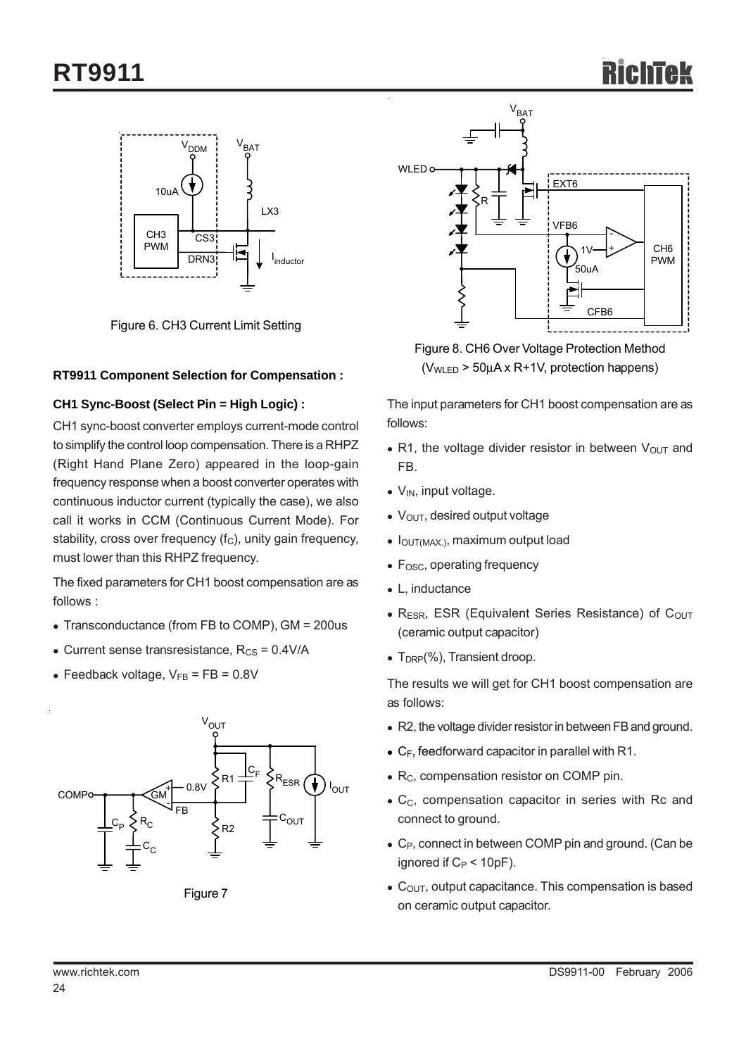

Figure 6. CH3 Current Limit Setting

#### **RT9911 Component Selection for Compensation :**

#### **CH1 Sync-Boost (Select Pin = High Logic) :**

CH1 sync-boost converter employs current-mode control to simplify the control loop compensation. There is a RHPZ (Right Hand Plane Zero) appeared in the loop-gain frequency response when a boost converter operates with continuous inductor current (typically the case), we also call it works in CCM (Continuous Current Mode). For stability, cross over frequency  $(f_C)$ , unity gain frequency, must lower than this RHPZ frequency.

The fixed parameters for CH1 boost compensation are as follows :

- Transconductance (from FB to COMP), GM = 200us
- Current sense transresistance,  $R_{CS} = 0.4V/A$
- Feedback voltage,  $V_{FB}$  = FB = 0.8V



Figure 7



Figure 8. CH6 Over Voltage Protection Method (VWLED > 50μA x R+1V, protection happens)

The input parameters for CH1 boost compensation are as follows:

- R1, the voltage divider resistor in between  $V_{\text{OUT}}$  and FB.
- $\bullet$  V<sub>IN</sub>, input voltage.
- $\bullet$  V<sub>OUT</sub>, desired output voltage
- $\bullet$   $I_{\text{OUT}(MAX.)}$ , maximum output load
- $\bullet$  F<sub>OSC</sub>, operating frequency
- $\bullet$  L, inductance
- $\bullet$  R<sub>ESR</sub>, ESR (Equivalent Series Resistance) of C<sub>OUT</sub> (ceramic output capacitor)
- $\bullet$  T<sub>DRP</sub>(%), Transient droop.

The results we will get for CH1 boost compensation are as follows:

- R2, the voltage divider resistor in between FB and ground.
- $\bullet$  C<sub>F</sub>, feedforward capacitor in parallel with R1.
- $\bullet$  R<sub>C</sub>, compensation resistor on COMP pin.
- $\bullet$  C<sub>C</sub>, compensation capacitor in series with Rc and connect to ground.
- $\bullet$  C<sub>P</sub>, connect in between COMP pin and ground. (Can be ignored if  $C_P < 10pF$ ).
- $C<sub>OUT</sub>$ , output capacitance. This compensation is based on ceramic output capacitor.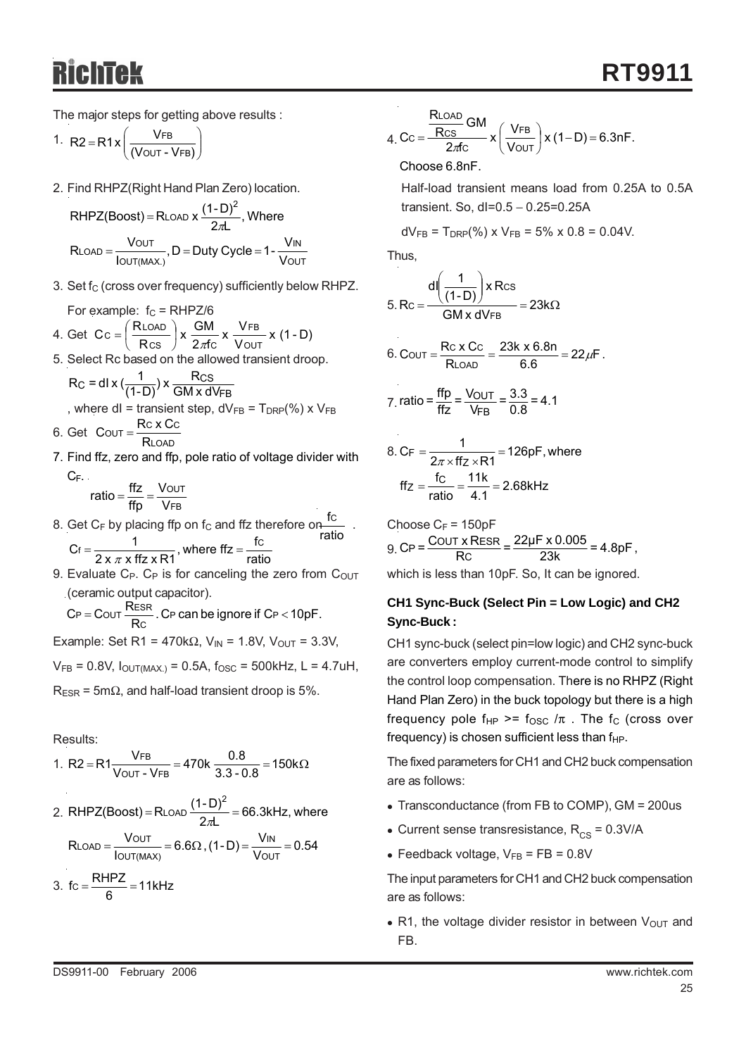The major steps for getting above results :

1. R2 = R1 x 
$$
\left(\frac{VFB}{(VOUT - VFB)}\right)
$$

2. Find RHPZ(Right Hand Plan Zero) location.

RHPZ(Boost) = RLOAD x 
$$
\frac{(1-D)^2}{2\pi L}
$$
, Where  
RLOAD =  $\frac{VOUT}{IOUT(MAX)}$ , D = Duty Cycle = 1 -  $\frac{VIN}{VOUT}$ 

3. Set  $f_C$  (cross over frequency) sufficiently below RHPZ.

For example: 
$$
f_C = RHPZ/6
$$
  
4. Get  $CC = \left(\frac{RLOAD}{Rcs}\right) x \frac{GM}{2\pi fc} x \frac{VFB}{VOUT} x (1-D)$ 

5. Select Rc based on the allowed transient droop.

$$
R_C = dl \times (\frac{1}{(1-D)}) \times \frac{R_{CS}}{GM \times dV_{FB}}
$$
  
, where dl = transient step, dV<sub>FB</sub> = T<sub>DRP</sub>(%) x V<sub>FB</sub>

- 6. Get  $\text{Cour} = \frac{\text{RMA}}{\text{RLAD}}$  $\text{Cout} = \frac{\text{Rc} \times \text{Cc}}{\text{R} \text{LOAD}}$
- 7. Find ffz, zero and ffp, pole ratio of voltage divider with  $C_F$ .
	- FB OUT V V  $\text{ratio} = \frac{\text{ffz}}{\text{ffp}} =$
- 8. Get C<sub>F</sub> by placing ffp on f<sub>C</sub> and ffz therefore on  $\frac{0}{\sqrt{1}}$ .  $C_f = \frac{1}{2 \times \pi \times \text{ffz} \times \text{R1}}$ , where ffz =  $\frac{\text{fc}}{\text{ratio}}$  $f_{\rm C}$
- 9. Evaluate  $C_P$ .  $C_P$  is for canceling the zero from  $C_{OUT}$ (ceramic output capacitor).

$$
C_P = \text{Cour } \frac{\text{ResR}}{\text{Rc}}. C_P \text{ can be ignore if } C_P < 10pF.
$$

Example: Set R1 = 470kΩ,  $V_{IN}$  = 1.8V,  $V_{OUT}$  = 3.3V,

 $V_{FB} = 0.8V$ ,  $I_{OUT(MAX.)} = 0.5A$ ,  $f_{OSC} = 500kHz$ , L = 4.7uH,

 $R_{FSR}$  = 5m $\Omega$ , and half-load transient droop is 5%.

#### Results:

1. R2 = R1 
$$
\frac{VFB}{V_{OUT} - VFB}
$$
 = 470k  $\frac{0.8}{3.3 - 0.8}$  = 150k $\Omega$   
\n2. RHPZ(Boost) = RLOAD  $\frac{(1-D)^2}{2\pi L}$  = 66.3kHz, where  
\nRLOAD =  $\frac{VOUT}{IOUT(MAX)}$  = 6.6 $\Omega$ , (1-D) =  $\frac{VIN}{VOUT}$  = 0.54  
\n3. fc =  $\frac{RHPZ}{6}$  = 11kHz

$$
\underline{\mathsf{R}\text{LOAD}}_{\mathcal{C}}
$$

4. 
$$
Cc = \frac{\frac{\text{RLOAD}}{\text{Rcs}} \text{GM}}{2\pi\text{fc}} \times \left(\frac{\text{VFB}}{\text{Vout}}\right) \times (1-\text{D}) = 6.3\text{nF}.
$$

Choose 6.8nF.

Half-load transient means load from 0.25A to 0.5A transient. So, dI=0.5 − 0.25=0.25A

$$
dV_{FB} = T_{DRP}(\%) \times V_{FB} = 5\% \times 0.8 = 0.04V.
$$

Thus,

$$
5. \text{Rc} = \frac{d \left( \frac{1}{(1-D)} \right) \times \text{Rcs}}{\text{GM} \times \text{dVFB}} = 23 \text{k}\Omega
$$

$$
6. \text{COUT} = \frac{\text{Rc x Cc}}{\text{RLOAD}} = \frac{23k \times 6.8n}{6.6} = 22 \mu \text{F}.
$$

7 ratio = 
$$
\frac{ffp}{ffz} = \frac{V_{OUT}}{V_{FB}} = \frac{3.3}{0.8} = 4.1
$$

8. CF = 
$$
\frac{1}{2\pi \times \text{ffz} \times \text{R1}} = 126 \text{pF}, \text{where}
$$

$$
\text{ffz} = \frac{\text{fc}}{\text{ratio}} = \frac{11 \text{k}}{4.1} = 2.68 \text{kHz}
$$

Choose 
$$
C_F = 150pF
$$
  
9.  $CP = \frac{COUT \times RESR}{RC} = \frac{22pF \times 0.005}{23k} = 4.8pF$ ,

which is less than 10pF. So, It can be ignored.

### **CH1 Sync-Buck (Select Pin = Low Logic) and CH2 Sync-Buck :**

CH1 sync-buck (select pin=low logic) and CH2 sync-buck are converters employ current-mode control to simplify the control loop compensation. There is no RHPZ (Right Hand Plan Zero) in the buck topology but there is a high frequency pole f<sub>HP</sub> >=  $f_{\text{OSC}}/n$ . The  $f_{\text{C}}$  (cross over frequency) is chosen sufficient less than  $f_{HP}$ .

The fixed parameters for CH1 and CH2 buck compensation are as follows:

- $\bullet$  Transconductance (from FB to COMP), GM = 200us
- Current sense transresistance,  $R_{\text{cc}} = 0.3V/A$
- Feedback voltage,  $V_{FB} = FB = 0.8V$

The input parameters for CH1 and CH2 buck compensation are as follows:

• R1, the voltage divider resistor in between  $V_{\text{OUT}}$  and FB.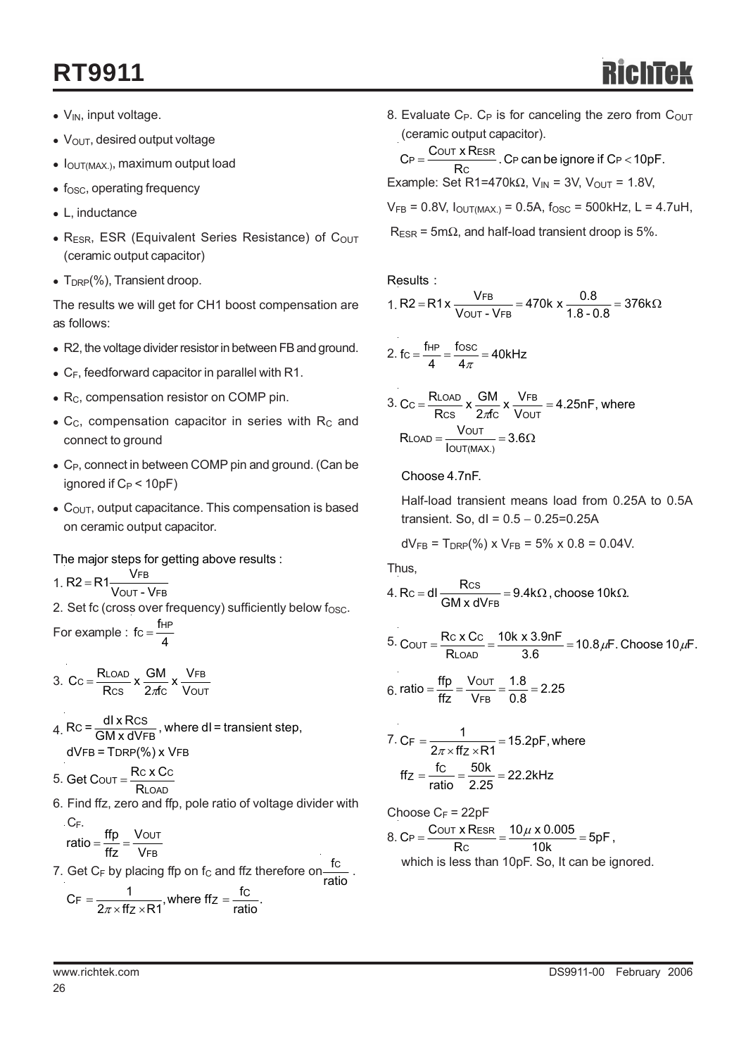- $\bullet$  V<sub>IN</sub>, input voltage.
- $\bullet$  V<sub>OUT</sub>, desired output voltage
- $\bullet$  I<sub>OUT(MAX.)</sub>, maximum output load
- $\bullet$  f<sub>OSC</sub>, operating frequency
- $\bullet$  L, inductance
- $\bullet$  R<sub>ESR</sub>, ESR (Equivalent Series Resistance) of C<sub>OUT</sub> (ceramic output capacitor)
- $\bullet$  T<sub>DRP</sub>(%), Transient droop.

The results we will get for CH1 boost compensation are as follows:

- R2, the voltage divider resistor in between FB and ground.
- $C_F$ , feedforward capacitor in parallel with R1.
- $\bullet$  R<sub>C</sub>, compensation resistor on COMP pin.
- $\bullet$  C<sub>C</sub>, compensation capacitor in series with R<sub>C</sub> and connect to ground
- C<sub>P</sub>, connect in between COMP pin and ground. (Can be ignored if  $C_P < 10pF$ )
- $\bullet$  C<sub>OUT</sub>, output capacitance. This compensation is based on ceramic output capacitor.

### The major steps for getting above results :

1.  $R2 = R1 \frac{R1}{V}$ FB  $R2 = R1 \frac{VFB}{VOUT - V}$ 

2. Set fc (cross over frequency) sufficiently below  $f_{\rm OSC}$ . For example : fc =  $\frac{\text{fHP}}{4}$ 

3. 
$$
Cc = \frac{R_{LOAD}}{Rcs} \times \frac{GM}{2\pi c} \times \frac{V_{FB}}{V_{OUT}}
$$

- 4. Rc =  $\frac{dI x Rcs}{GM x dVFB}$ , where dI = transient step,  $dV$ FB =  $T$ DRP $(\%)$  x  $V$ FB
- 5. Get Cout =  $\frac{180 \times 10}{R_{\text{LOAD}}}$  $\text{Get}$  Cout =  $\frac{\text{Rc} \times \text{Cc}}{\text{Rtoad}}$
- 6. Find ffz, zero and ffp, pole ratio of voltage divider with CF.

$$
ratio = \frac{ftp}{ffz} = \frac{V_{OUT}}{V_{FB}}
$$

7. Get C<sub>F</sub> by placing ffp on f<sub>C</sub> and ffz therefore on  $\frac{10}{10}$ . ratio fC  $C_F = \frac{1}{2\pi \times ff_Z \times R1}$ , where  $ff_Z = \frac{fc}{ratio}$ .

8. Evaluate  $C_P$ .  $C_P$  is for canceling the zero from  $C_{OUT}$ (ceramic output capacitor).

 $C_P = \frac{C_{OUT} \times R_{ESR}}{R_C}$ . CP can be ignore if CP < 10pF.  $P = \frac{C$ OUT X RESR . CP can be ignore if CP  $<$ 

Example: Set R1=470k $\Omega$ , V<sub>IN</sub> = 3V, V<sub>OUT</sub> = 1.8V,

 $V_{FB} = 0.8V$ ,  $I_{OUT(MAX.)} = 0.5A$ ,  $f_{OSC} = 500kHz$ ,  $L = 4.7uH$ ,

 $R<sub>FSR</sub>$  = 5m $\Omega$ , and half-load transient droop is 5%.

Results :

1. R2 = R1 x 
$$
\frac{V_{FB}}{V_{OUT} - V_{FB}} = 470k \times \frac{0.8}{1.8 - 0.8} = 376k\Omega
$$

$$
2. \text{ fc} = \frac{\text{fHP}}{4} = \frac{\text{fosc}}{4\pi} = 40 \text{kHz}
$$

3. 
$$
C_{C} = \frac{R_{LOAD}}{R_{CS}} \times \frac{GM}{2\pi c} \times \frac{V_{FB}}{V_{OUT}} = 4.25nF, where
$$

$$
R_{LOAD} = \frac{V_{OUT}}{I_{OUT(MAX.)}} = 3.6\Omega
$$

Choose 4.7nF.

Half-load transient means load from 0.25A to 0.5A transient. So, dI = 0.5 − 0.25=0.25A

 $dV_{FB} = T_{DRP}$ (%) x  $V_{FB} = 5%$  x 0.8 = 0.04V.

Thus,

4. 
$$
RC = dl \frac{Rcs}{GM \times dVFB} = 9.4k\Omega
$$
, choose  $10k\Omega$ .

5. 
$$
C_{\text{OUT}} = \frac{Rc \times Cc}{R_{\text{LOAD}}} = \frac{10k \times 3.9nF}{3.6} = 10.8 \,\mu F.
$$
 Choose  $10 \,\mu F.$ 

$$
6. \text{ ratio} = \frac{\text{ffp}}{\text{ffz}} = \frac{\text{Vour}}{\text{VFB}} = \frac{1.8}{0.8} = 2.25
$$

7. 
$$
C_F = \frac{1}{2\pi \times ff_Z \times R1} = 15.2pF
$$
, where  
  $ff_Z = \frac{fc}{ratio} = \frac{50k}{2.25} = 22.2kHz$ 

Choose  $C_F = 22pF$ 8.  $C_P = \frac{C_{OUT} \times R_{ESR}}{R_C} = \frac{10 \mu \times 0.005}{10k} = 5pF$ , which is less than 10pF. So, It can be ignored.  $\text{C}_{P} = \frac{\text{Cour x R}}{\text{Rc}}$  $P = \frac{C$ OUT X RESR  $= \frac{10 \mu \times 0.005}{1000} =$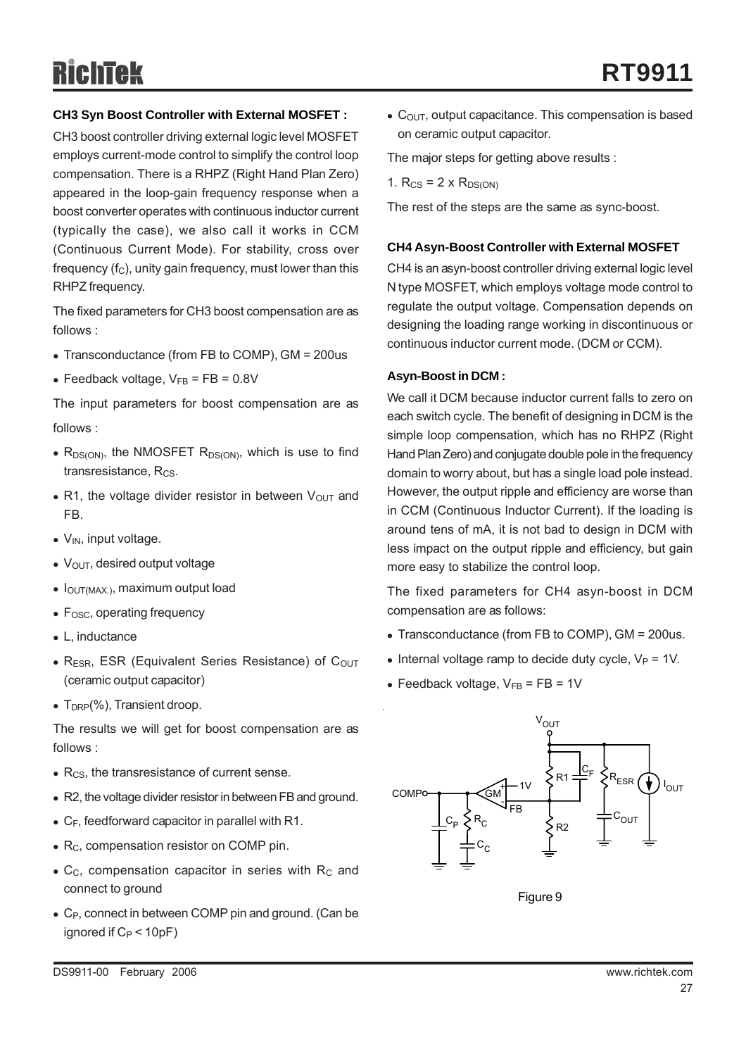#### **CH3 Syn Boost Controller with External MOSFET :**

CH3 boost controller driving external logic level MOSFET employs current-mode control to simplify the control loop compensation. There is a RHPZ (Right Hand Plan Zero) appeared in the loop-gain frequency response when a boost converter operates with continuous inductor current (typically the case), we also call it works in CCM (Continuous Current Mode). For stability, cross over frequency  $(f_C)$ , unity gain frequency, must lower than this RHPZ frequency.

The fixed parameters for CH3 boost compensation are as follows :

- $\bullet$  Transconductance (from FB to COMP), GM = 200us
- Feedback voltage,  $V_{FB}$  = FB = 0.8V

The input parameters for boost compensation are as follows :

- $R_{DS(ON)}$ , the NMOSFET  $R_{DS(ON)}$ , which is use to find transresistance,  $R_{CS}$ .
- R1, the voltage divider resistor in between  $V_{\text{OUT}}$  and FB.
- $\bullet$  V<sub>IN</sub>, input voltage.
- $\bullet$  V<sub>OUT</sub>, desired output voltage
- $\bullet$  I<sub>OUT(MAX.)</sub>, maximum output load
- $\bullet$  F<sub>OSC</sub>, operating frequency
- $\bullet$  L, inductance
- $\bullet$  R<sub>ESR</sub>, ESR (Equivalent Series Resistance) of C<sub>OUT</sub> (ceramic output capacitor)
- $\bullet$  T<sub>DRP</sub>(%), Transient droop.

The results we will get for boost compensation are as follows :

- $\bullet$  R<sub>CS</sub>, the transresistance of current sense.
- R2, the voltage divider resistor in between FB and ground.
- $\bullet$  C<sub>F</sub>, feedforward capacitor in parallel with R1.
- R<sub>C</sub>, compensation resistor on COMP pin.
- $\bullet$  C<sub>C</sub>, compensation capacitor in series with R<sub>C</sub> and connect to ground
- C<sub>P</sub>, connect in between COMP pin and ground. (Can be ignored if  $C_P < 10pF$ )

 $\bullet$  C<sub>OUT</sub>, output capacitance. This compensation is based on ceramic output capacitor.

The major steps for getting above results :

1.  $R_{CS} = 2 \times R_{DS(ON)}$ 

The rest of the steps are the same as sync-boost.

#### **CH4 Asyn-Boost Controller with External MOSFET**

CH4 is an asyn-boost controller driving external logic level N type MOSFET, which employs voltage mode control to regulate the output voltage. Compensation depends on designing the loading range working in discontinuous or continuous inductor current mode. (DCM or CCM).

#### **Asyn-Boost in DCM :**

We call it DCM because inductor current falls to zero on each switch cycle. The benefit of designing in DCM is the simple loop compensation, which has no RHPZ (Right Hand Plan Zero) and conjugate double pole in the frequency domain to worry about, but has a single load pole instead. However, the output ripple and efficiency are worse than in CCM (Continuous Inductor Current). If the loading is around tens of mA, it is not bad to design in DCM with less impact on the output ripple and efficiency, but gain more easy to stabilize the control loop.

The fixed parameters for CH4 asyn-boost in DCM compensation are as follows:

- Transconductance (from FB to COMP), GM = 200us.
- Internal voltage ramp to decide duty cycle,  $V_P = 1V$ .
- Feedback voltage,  $V_{FB}$  = FB = 1V



Figure 9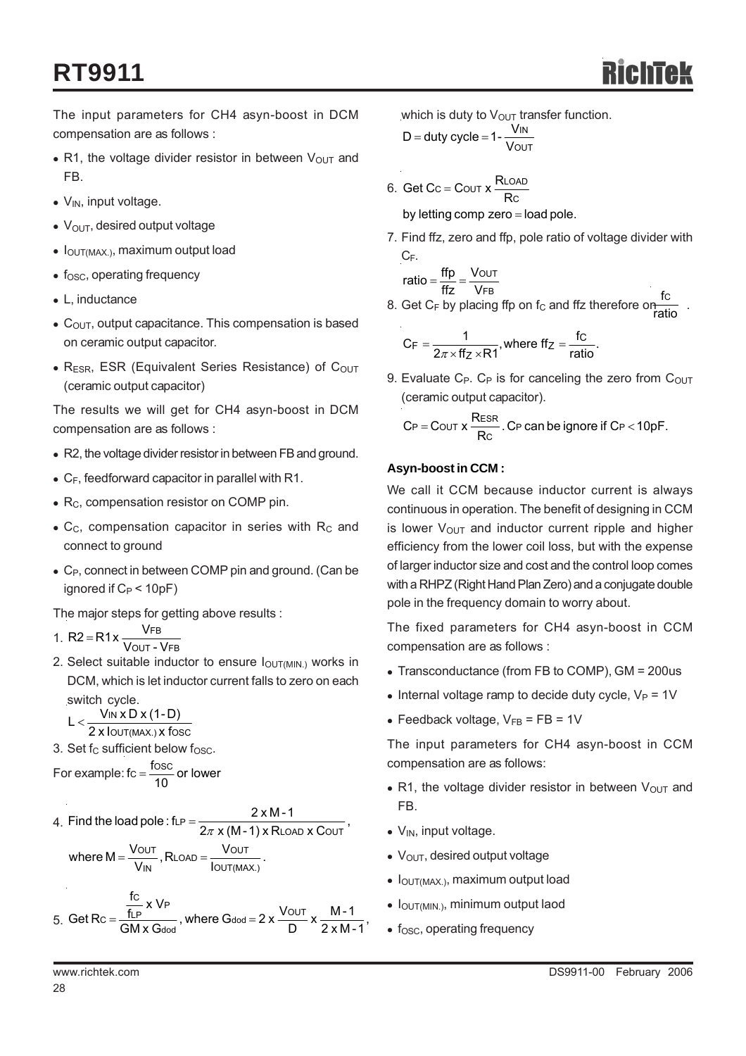The input parameters for CH4 asyn-boost in DCM compensation are as follows :

- R1, the voltage divider resistor in between  $V_{\text{OUT}}$  and FB.
- $\bullet$  V<sub>IN</sub>, input voltage.
- $\bullet$  V<sub>OUT</sub>, desired output voltage
- $\bullet$  I<sub>OUT(MAX.)</sub>, maximum output load
- $\bullet$  f<sub>OSC</sub>, operating frequency
- $\bullet$  L, inductance
- $\bullet$  C<sub>OUT</sub>, output capacitance. This compensation is based on ceramic output capacitor.
- $\bullet$  R<sub>ESR</sub>, ESR (Equivalent Series Resistance) of C<sub>OUT</sub> (ceramic output capacitor)

The results we will get for CH4 asyn-boost in DCM compensation are as follows :

- R2, the voltage divider resistor in between FB and ground.
- $\bullet$  C<sub>F</sub>, feedforward capacitor in parallel with R1.
- $\bullet$  R<sub>C</sub>, compensation resistor on COMP pin.
- $\bullet$  C<sub>C</sub>, compensation capacitor in series with R<sub>C</sub> and connect to ground
- $\bullet$  C<sub>P</sub>, connect in between COMP pin and ground. (Can be ignored if  $C_P < 10pF$ )

The major steps for getting above results :

1.  $R2 = R1x \frac{18}{VQUT - VFB}$ FB  $R2 = R1x \frac{VFB}{VOUT - V}$ 

2. Select suitable inductor to ensure  $I_{\text{OUT(MIN.)}}$  works in DCM, which is let inductor current falls to zero on each switch cycle.

IN  $L < \frac{V_{IN} \times D \times (1-D)}{2 \times I_{OUT(MAX.)} \times f_{OS}}$ 

3. Set  $f_C$  sufficient below  $f_{\rm OSC}$ . OUT(MAX.) **X †**OSC

For example: fc =  $\frac{\text{fosc}}{10}$  or lower

4. Find the load pole : fLP =  $\frac{2 \times M - 1}{2\pi \times (M - 1) \times R_{\text{LOAD}} \times \text{Cour}}$ , where  $M = \frac{V_{\text{OUT}}}{V_{\text{IN}}}$ , RLOAD =  $\frac{V_{\text{OUT}}}{V_{\text{OUT(MAX)}}}$ . OUT LOAD IN  $=\frac{VOUT}{V}$ , RLOAD =

5. Get Rc = 
$$
\frac{\frac{fc}{f_{LP}} \times V_P}{GM \times G_{dod}}
$$
, where G<sub>dod</sub> = 2 x  $\frac{V_{OUT}}{D} \times \frac{M-1}{2 \times M-1}$ ,

which is duty to  $V_{\text{OUT}}$  transfer function. D = duty cycle = 1 -  $\frac{V_{IN}}{V}$ 

= duty cycle = 
$$
1 - \frac{V}{V}
$$

6.  $\textsf{Get CC} = \textsf{COUT X} \, \frac{\textsf{RLOA}}{\textsf{RCI}}$  $C =$  Cout  $X \frac{RLOAD}{R}$ 

by letting comp zero = load pole.

7. Find ffz, zero and ffp, pole ratio of voltage divider with CF.

$$
ratio = \frac{ftp}{ffz} = \frac{V_{OUT}}{V_{FB}}
$$

8. Get C<sub>F</sub> by placing ffp on f<sub>C</sub> and ffz therefore on  $\frac{1}{2}$ . ratio fC

$$
C_F = \frac{1}{2\pi \times ff_Z \times R1}
$$
, where  $ff_Z = \frac{fc}{ratio}$ .

9. Evaluate  $C_P$ .  $C_P$  is for canceling the zero from  $C_{OUT}$ (ceramic output capacitor).

$$
C_P = \text{Cour x } \frac{\text{ResR}}{\text{Rc}}. \text{ C.P can be ignore if } C_P < 10 \text{pF}.
$$

### **Asyn-boost in CCM :**

We call it CCM because inductor current is always continuous in operation. The benefit of designing in CCM is lower  $V_{\text{OUT}}$  and inductor current ripple and higher efficiency from the lower coil loss, but with the expense of larger inductor size and cost and the control loop comes with a RHPZ (Right Hand Plan Zero) and a conjugate double pole in the frequency domain to worry about.

The fixed parameters for CH4 asyn-boost in CCM compensation are as follows :

- Transconductance (from FB to COMP), GM = 200us
- Internal voltage ramp to decide duty cycle,  $V_P = 1V$
- Feedback voltage,  $V_{FB}$  = FB = 1V

The input parameters for CH4 asyn-boost in CCM compensation are as follows:

- R1, the voltage divider resistor in between  $V_{\text{OUT}}$  and FB.
- $\bullet$  V<sub>IN</sub>, input voltage.
- $\bullet$  V<sub>OUT</sub>, desired output voltage
- $\bullet$   $I_{\text{OUT}(MAX.)}$ , maximum output load
- $\bullet$   $I_{\text{OUT(MIN.)}}$ , minimum output laod
- $\bullet$  f<sub>OSC</sub>, operating frequency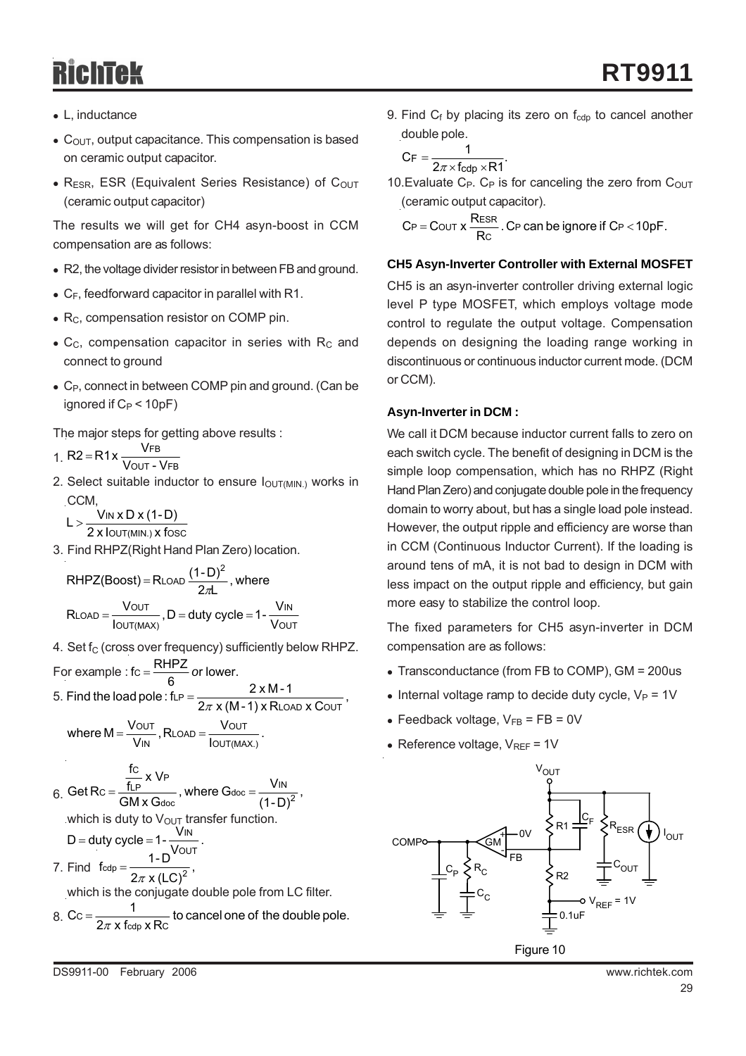- $\bullet$  L, inductance
- $\bullet$  C<sub>OUT</sub>, output capacitance. This compensation is based on ceramic output capacitor.
- $R_{ESR}$ , ESR (Equivalent Series Resistance) of  $C_{OUT}$ (ceramic output capacitor)

The results we will get for CH4 asyn-boost in CCM compensation are as follows:

- R2, the voltage divider resistor in between FB and ground.
- $\bullet$  C<sub>F</sub>, feedforward capacitor in parallel with R1.
- R<sub>C</sub>, compensation resistor on COMP pin.
- $\bullet$  C<sub>C</sub>, compensation capacitor in series with R<sub>C</sub> and connect to ground
- C<sub>P</sub>, connect in between COMP pin and ground. (Can be ignored if  $C_P < 10pF$ )

The major steps for getting above results :

- 1.  $R2 = R1x \frac{P}{VQUT VFB}$ FB  $R2 = R1x \frac{VFB}{VOUT - V}$
- 2. Select suitable inductor to ensure  $I_{\text{OUT(MIN)}}$  works in CCM,

IN  $L > \frac{V_{IN} \times D \times (1-D)}{2 \times I_{OUT(MIN.)} \times f_{OS}}$ 

OUT(MIN.) **X †**OSC

3. Find RHPZ(Right Hand Plan Zero) location.

RHPZ(Boost) = RLOAD 
$$
\frac{(1-D)^2}{2\pi}
$$
, where  
Your = R<sub>1</sub> between the A

$$
R_{LOAD} = \frac{V_{OUT}}{I_{OUT(MAX)}}, D = duty cycle = 1 - \frac{V_{IN}}{V_{OUT}}
$$

- 4. Set f<sub>C</sub> (cross over frequency) sufficiently below RHPZ.
- For example : fc =  $\frac{\text{RHPZ}}{2}$  or lower.
- 5. 6 Find the load pole : f<sub>LP</sub> =  $\frac{2 \times M - 1}{2\pi \times (M - 1) \times R_{\text{LOAD}} \times \text{Cour}}$ ,

IN

where 
$$
M = \frac{V_{OUT}}{V_{IN}}
$$
,  $R_{LOAD} = \frac{V_{OUT}}{I_{OUT(MAX.)}}$ .

$$
6. \text{ Get RC} = \frac{\frac{\text{fc}}{\text{fLP}} \times \text{V}_{\text{P}}}{\text{GM} \times \text{G}_{\text{doc}}}, \text{ where } \text{G}_{\text{doc}} = \frac{\text{V}_{\text{IN}}}{(1-\text{D})^2}
$$

which is duty to  $V_{\text{OUT}}$  transfer function.

D = duty cycle = 
$$
1 - \frac{V_{IN}}{V}
$$

D = duty cycle = 
$$
1 - \frac{V_{\text{OUT}}}{V_{\text{OUT}}}
$$
.  
7. Find  $f_{\text{cdp}} = \frac{1 - D}{2\pi \times (LC)^2}$ ,  
which is the conjugate double pole from LC filter.

8. 
$$
Cc = \frac{1}{2\pi x f_{\text{cdp}} x Rc}
$$
 to cancel one of the double pole.

9. Find  $C_f$  by placing its zero on  $f_{\text{cdp}}$  to cancel another double pole.

$$
C_F = \frac{1}{2\pi \times f_{\text{cdp}} \times R1}.
$$

10. Evaluate  $C_P$ .  $C_P$  is for canceling the zero from  $C_{OUT}$ (ceramic output capacitor).

$$
C_P = \text{Cour x } \frac{\text{ResR}}{\text{Rc}}. \text{ C.P can be ignore if } C_P < 10pF.
$$

#### **CH5 Asyn-Inverter Controller with External MOSFET**

CH5 is an asyn-inverter controller driving external logic level P type MOSFET, which employs voltage mode control to regulate the output voltage. Compensation depends on designing the loading range working in discontinuous or continuous inductor current mode. (DCM or CCM).

#### **Asyn-Inverter in DCM :**

We call it DCM because inductor current falls to zero on each switch cycle. The benefit of designing in DCM is the simple loop compensation, which has no RHPZ (Right Hand Plan Zero) and conjugate double pole in the frequency domain to worry about, but has a single load pole instead. However, the output ripple and efficiency are worse than in CCM (Continuous Inductor Current). If the loading is around tens of mA, it is not bad to design in DCM with less impact on the output ripple and efficiency, but gain more easy to stabilize the control loop.

The fixed parameters for CH5 asyn-inverter in DCM compensation are as follows:

- $\bullet$  Transconductance (from FB to COMP), GM = 200us
- Internal voltage ramp to decide duty cycle,  $V_P = 1V$
- $\bullet$  Feedback voltage,  $V_{FB}$  = FB = 0V
- Reference voltage,  $V_{REF} = 1V$

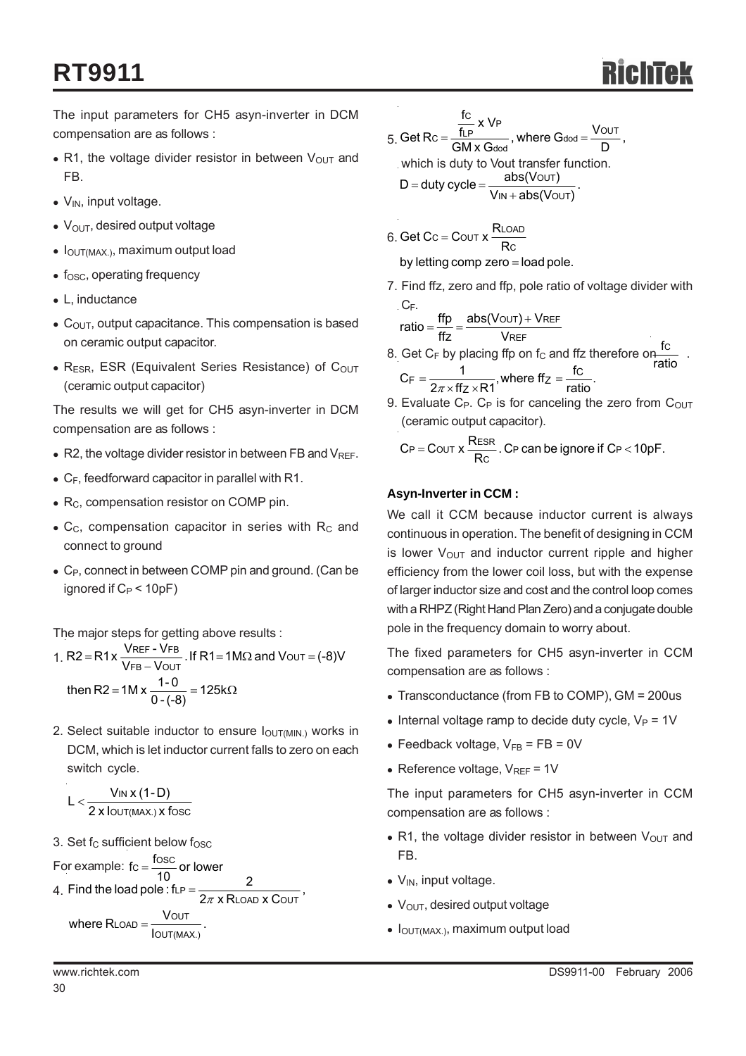The input parameters for CH5 asyn-inverter in DCM compensation are as follows :

- R1, the voltage divider resistor in between  $V_{\text{OUT}}$  and FB.
- $\bullet$  V<sub>IN</sub>, input voltage.
- $\bullet$  V<sub>OUT</sub>, desired output voltage
- $\bullet$  I<sub>OUT(MAX.)</sub>, maximum output load
- $\bullet$  f<sub>OSC</sub>, operating frequency
- $\bullet$  L, inductance
- $\bullet$  C<sub>OUT</sub>, output capacitance. This compensation is based on ceramic output capacitor.
- $\bullet$  R<sub>ESR</sub>, ESR (Equivalent Series Resistance) of C<sub>OUT</sub> (ceramic output capacitor)

The results we will get for CH5 asyn-inverter in DCM compensation are as follows :

- $\bullet$  R2, the voltage divider resistor in between FB and V<sub>REF</sub>.
- $\bullet$  C<sub>F</sub>, feedforward capacitor in parallel with R1.
- $\bullet$  R<sub>C</sub>, compensation resistor on COMP pin.
- $\bullet$  C<sub>C</sub>, compensation capacitor in series with R<sub>C</sub> and connect to ground
- $\bullet$  C<sub>P</sub>, connect in between COMP pin and ground. (Can be ignored if  $C_P < 10pF$ )

The major steps for getting above results :

1. R2 = R1 x 
$$
\frac{V_{REF} - V_{FB}}{V_{FB} - V_{OUT}}
$$
. If R1 = 1M $\Omega$  and V<sub>OUT</sub> = (-8)V  
then R2 = 1M x  $\frac{1-0}{0-(8)}$  = 125k $\Omega$ 

2. Select suitable inductor to ensure  $I_{\text{OUT}(MIN.)}$  works in DCM, which is let inductor current falls to zero on each switch cycle.

$$
L < \frac{V_{IN}x(1-D)}{2 \, x \, \text{IoUT}(\text{MAX.}) \, x \, \text{fosc}}
$$

3. Set  $f_C$  sufficient below  $f_{\rm OSC}$ 

For example: 4.  $\text{fc} = \frac{\text{fosc}}{10}$  or lower Find the load pole : fLP =  $\frac{2}{2\pi \times \text{R}_{\text{LOAD}} \times \text{C}_{\text{OUT}}},$ 

$$
2\pi \times \text{RLOAD} \times \text{COD}
$$
  
where RLOAD = 
$$
\frac{\text{VOUT}}{\text{COD}}.
$$

where RLOAD = 
$$
\frac{VU}{VUUT(MAX)}.
$$

5. Get 
$$
RC = \frac{\frac{fc}{fLP} \times VP}{GM \times G_{dod}}
$$
, where  $G_{dod} = \frac{V_{OUT}}{D}$ ,  
which is duty to Vout transfer function.  
 $D = duty cycle = \frac{abs(VOUT)}{V_{God}}$ .

= duty cycle = 
$$
\frac{d}{d} \frac{d}{d} \frac{d}{d} \left( \frac{d}{d} \frac{d}{d} \right).
$$

- 6. Get C $c =$  Cout x  $\frac{R_{LOP}}{R_{C}}$ by letting comp zero = load pole.  $C =$  Cout  $X \frac{RLOAD}{R}$
- 7. Find ffz, zero and ffp, pole ratio of voltage divider with  $C_F$ .

$$
ratio = \frac{ftp}{ffz} = \frac{abs(VOUT) + VREF}{VREF}
$$

- 8. Get  $C_F$  by placing ffp on  $f_C$  and ffz therefore on ratio fC  $C_F = \frac{1}{2\pi \times ff_Z \times R1}$ , where  $ff_Z = \frac{fc}{ratio}$ .
- 9. Evaluate  $C_P$ .  $C_P$  is for canceling the zero from  $C_{OUT}$ (ceramic output capacitor).

$$
C_P = \text{Cout } x \, \frac{\text{ResR}}{\text{Rc}}. \, C_P \, \text{can be ignore if } C_P < 10 \text{pF}.
$$

### **Asyn-Inverter in CCM :**

We call it CCM because inductor current is always continuous in operation. The benefit of designing in CCM is lower  $V_{\text{OUT}}$  and inductor current ripple and higher efficiency from the lower coil loss, but with the expense of larger inductor size and cost and the control loop comes with a RHPZ (Right Hand Plan Zero) and a conjugate double pole in the frequency domain to worry about.

The fixed parameters for CH5 asyn-inverter in CCM compensation are as follows :

- $\bullet$  Transconductance (from FB to COMP), GM = 200us
- Internal voltage ramp to decide duty cycle,  $V_P = 1V$
- Feedback voltage,  $V_{FB}$  = FB = 0V
- $\bullet$  Reference voltage, V<sub>REF</sub> = 1V

The input parameters for CH5 asyn-inverter in CCM compensation are as follows :

- $\bullet$  R1, the voltage divider resistor in between V<sub>OUT</sub> and FB.
- $\bullet$  V<sub>IN</sub>, input voltage.
- $\bullet$  V<sub>OUT</sub>, desired output voltage
- $\bullet$   $I_{\text{OUT}(MAX.)}$ , maximum output load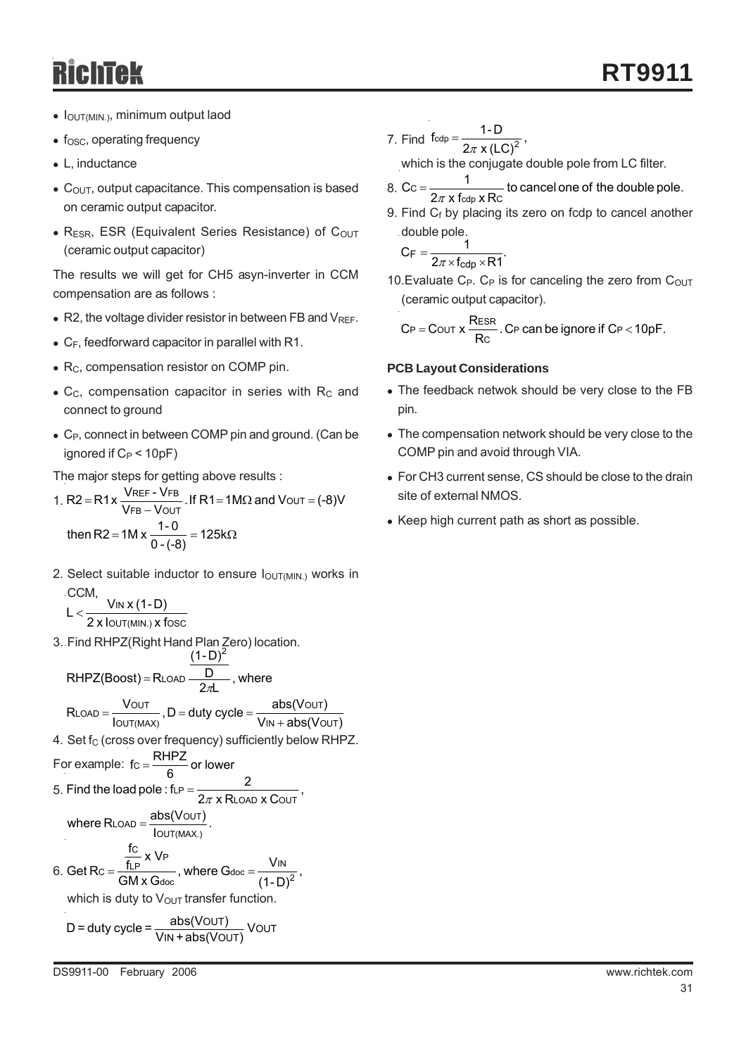- $\bullet$   $I_{\text{OUT(MIN.)}}$ , minimum output laod
- $\bullet$  f<sub>OSC</sub>, operating frequency
- $\bullet$  L, inductance
- $\bullet$  C<sub>OUT</sub>, output capacitance. This compensation is based on ceramic output capacitor.
- $R_{FSR}$ , ESR (Equivalent Series Resistance) of  $C_{OUT}$ (ceramic output capacitor)

The results we will get for CH5 asyn-inverter in CCM compensation are as follows :

- $\bullet$  R2, the voltage divider resistor in between FB and V<sub>REF</sub>.
- $\bullet$  C<sub>F</sub>, feedforward capacitor in parallel with R1.
- $\bullet$  R<sub>C</sub>, compensation resistor on COMP pin.
- $\bullet$  C<sub>C</sub>, compensation capacitor in series with R<sub>C</sub> and connect to ground
- C<sub>P</sub>, connect in between COMP pin and ground. (Can be ignored if  $C_P < 10pF$ )

The major steps for getting above results :

1. R2 = R1x 
$$
\frac{V_{REF} - V_{FB}}{V_{FB} - V_{OUT}}
$$
. If R1 = 1M $\Omega$  and V<sub>OUT</sub> = (-8)V  
then R2 = 1M x  $\frac{1-0}{0-(-8)}$  = 125k $\Omega$ 

2. Select suitable inductor to ensure  $I_{\text{OUT(MIN)}}$  works in CCM,

3. Find RHPZ(Right Hand Plan Zero) location. 4. Set f<sub>C</sub> (cross over frequency) sufficiently below RHPZ. For example: 5. 6. Get Rc =  $\frac{\overline{f_{LP}} \wedge V}{GM \times G_{doc}}$ , where  $G_{doc} = \frac{V_{IN}}{(1-D)^2}$ , OUT(MIN.) **X T**OSC IN  $L < \frac{V_{IN}x(1-D)}{2 \times I_{OUT(MIN.)}x}$  $R_{LOAD} = \frac{V_{OUT}}{I_{OUT(MAX)}}$ , D = duty cycle =  $\frac{abs(V_{OUT})}{V_{IN} + abs(V_{OUT})}$  $\frac{D}{2\pi}$ , where D (1- D)  $RHPZ(Boost) = R$ OUT OUT(MAX) LOAD =  $\frac{\text{VOUT}}{\text{IOUT}(MAX)}$ , D = duty cycle =  $\frac{a}{\text{VIN}+}$ 2  $=$  Rload  $\frac{U}{2\pi}$  $\mathsf{fc} = \frac{\mathsf{RHPZ}}{6}$  or lower where  $R_{LOAD} = \frac{abs(V_{OUT})}{low_{T(MAX.)}}$ . Find the load pole : fLP =  $\frac{2}{2\pi x \text{ R}_{\text{LOAD}} \times \text{C}_{\text{OUT}}},$  $\textsf{LOAD} = \frac{\textsf{ADS}(\textsf{VOUT})}{\textsf{LOAD}}$  $\frac{18}{f_{LP}}$  x V f Get Rc =  $\frac{f_{LP}f_{CP}}{GM \times G_{doc}}$ , where  $G_{doc} = \frac{V_{IN}}{(1-D)^2}$ — X VP<br>LP C  $C = \frac{ILP}{C}$ , where  $G_{doc} =$ 

which is duty to 
$$
V_{\text{OUT}}
$$
 transfer function.

\nOutput

\nDescription:

$$
D = \text{duty cycle} = \frac{abs(VOUT)}{VIN + abs(VOUT)} VOUT
$$

$$
\cdot \qquad \qquad 1
$$

7. Find 
$$
f_{\text{cdp}} = \frac{1 - D}{2\pi \times (LC)^2}
$$
,  
which is the conjugate double pole from LC filter.

- 8. Cc =  $\frac{1}{2\pi x \text{ f} \cos x \text{ Rc}}$  to cancel one of the double pole.
- 9. Find  $C_f$  by placing its zero on fcdp to cancel another double pole.

$$
C_F = \frac{1}{2\pi \times f_{\text{cdp}} \times R1}.
$$

10. Evaluate  $C_P$ .  $C_P$  is for canceling the zero from  $C_{OUT}$ (ceramic output capacitor).

$$
C_P = \text{Cout } x \frac{\text{ResR}}{\text{Rc}}. \text{ C_P can be ignore if } C_P < 10 \text{pF}.
$$

#### **PCB Layout Considerations**

- The feedback netwok should be very close to the FB pin.
- The compensation network should be very close to the COMP pin and avoid through VIA.
- For CH3 current sense, CS should be close to the drain site of external NMOS.
- Keep high current path as short as possible.